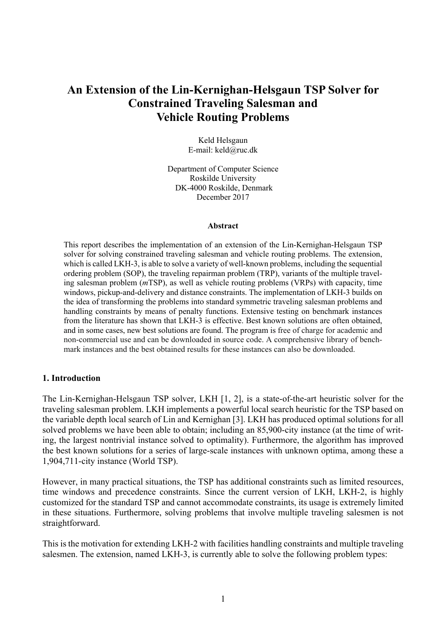# **An Extension of the Lin-Kernighan-Helsgaun TSP Solver for Constrained Traveling Salesman and Vehicle Routing Problems**

Keld Helsgaun E-mail: keld@ruc.dk

Department of Computer Science Roskilde University DK-4000 Roskilde, Denmark December 2017

#### **Abstract**

This report describes the implementation of an extension of the Lin-Kernighan-Helsgaun TSP solver for solving constrained traveling salesman and vehicle routing problems. The extension, which is called LKH-3, is able to solve a variety of well-known problems, including the sequential ordering problem (SOP), the traveling repairman problem (TRP), variants of the multiple traveling salesman problem (*m*TSP), as well as vehicle routing problems (VRPs) with capacity, time windows, pickup-and-delivery and distance constraints. The implementation of LKH-3 builds on the idea of transforming the problems into standard symmetric traveling salesman problems and handling constraints by means of penalty functions. Extensive testing on benchmark instances from the literature has shown that LKH-3 is effective. Best known solutions are often obtained, and in some cases, new best solutions are found. The program is free of charge for academic and non-commercial use and can be downloaded in source code. A comprehensive library of benchmark instances and the best obtained results for these instances can also be downloaded.

#### **1. Introduction**

The Lin-Kernighan-Helsgaun TSP solver, LKH [1, 2], is a state-of-the-art heuristic solver for the traveling salesman problem. LKH implements a powerful local search heuristic for the TSP based on the variable depth local search of Lin and Kernighan [3]. LKH has produced optimal solutions for all solved problems we have been able to obtain; including an 85,900-city instance (at the time of writing, the largest nontrivial instance solved to optimality). Furthermore, the algorithm has improved the best known solutions for a series of large-scale instances with unknown optima, among these a 1,904,711-city instance (World TSP).

However, in many practical situations, the TSP has additional constraints such as limited resources, time windows and precedence constraints. Since the current version of LKH, LKH-2, is highly customized for the standard TSP and cannot accommodate constraints, its usage is extremely limited in these situations. Furthermore, solving problems that involve multiple traveling salesmen is not straightforward.

This is the motivation for extending LKH-2 with facilities handling constraints and multiple traveling salesmen. The extension, named LKH-3, is currently able to solve the following problem types: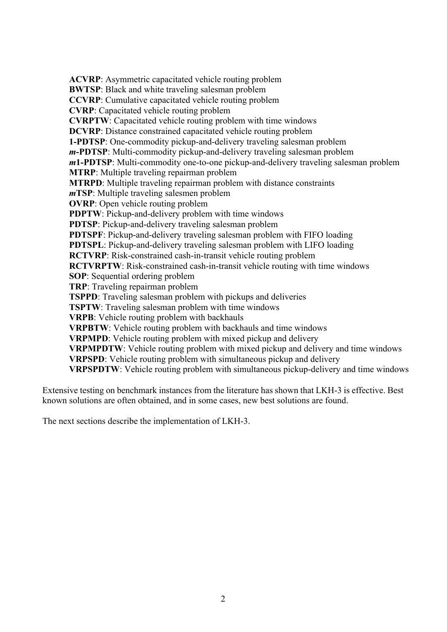**ACVRP**: Asymmetric capacitated vehicle routing problem **BWTSP**: Black and white traveling salesman problem **CCVRP**: Cumulative capacitated vehicle routing problem **CVRP**: Capacitated vehicle routing problem **CVRPTW**: Capacitated vehicle routing problem with time windows **DCVRP**: Distance constrained capacitated vehicle routing problem **1-PDTSP**: One-commodity pickup-and-delivery traveling salesman problem *m***-PDTSP**: Multi-commodity pickup-and-delivery traveling salesman problem *m***1-PDTSP**: Multi-commodity one-to-one pickup-and-delivery traveling salesman problem **MTRP**: Multiple traveling repairman problem **MTRPD**: Multiple traveling repairman problem with distance constraints *m***TSP**: Multiple traveling salesmen problem **OVRP**: Open vehicle routing problem **PDPTW**: Pickup-and-delivery problem with time windows **PDTSP**: Pickup-and-delivery traveling salesman problem **PDTSPF**: Pickup-and-delivery traveling salesman problem with FIFO loading **PDTSPL**: Pickup-and-delivery traveling salesman problem with LIFO loading **RCTVRP**: Risk-constrained cash-in-transit vehicle routing problem **RCTVRPTW**: Risk-constrained cash-in-transit vehicle routing with time windows **SOP**: Sequential ordering problem **TRP**: Traveling repairman problem **TSPPD**: Traveling salesman problem with pickups and deliveries **TSPTW**: Traveling salesman problem with time windows **VRPB**: Vehicle routing problem with backhauls **VRPBTW**: Vehicle routing problem with backhauls and time windows **VRPMPD**: Vehicle routing problem with mixed pickup and delivery **VRPMPDTW**: Vehicle routing problem with mixed pickup and delivery and time windows **VRPSPD**: Vehicle routing problem with simultaneous pickup and delivery **VRPSPDTW**: Vehicle routing problem with simultaneous pickup-delivery and time windows

Extensive testing on benchmark instances from the literature has shown that LKH-3 is effective. Best known solutions are often obtained, and in some cases, new best solutions are found.

The next sections describe the implementation of LKH-3.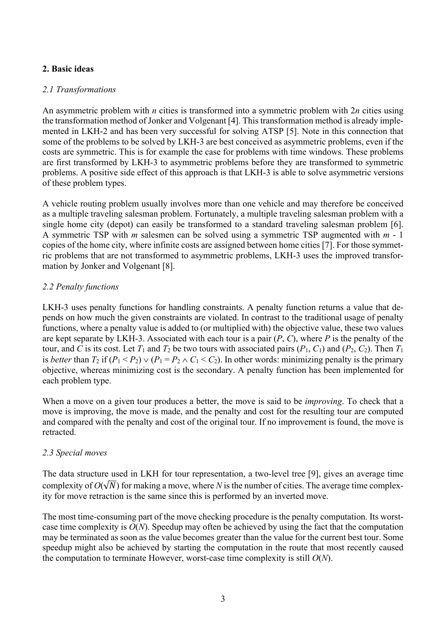## **2. Basic ideas**

## *2.1 Transformations*

An asymmetric problem with *n* cities is transformed into a symmetric problem with 2*n* cities using the transformation method of Jonker and Volgenant [4]. This transformation method is already implemented in LKH-2 and has been very successful for solving ATSP [5]. Note in this connection that some of the problems to be solved by LKH-3 are best conceived as asymmetric problems, even if the costs are symmetric. This is for example the case for problems with time windows. These problems are first transformed by LKH-3 to asymmetric problems before they are transformed to symmetric problems. A positive side effect of this approach is that LKH-3 is able to solve asymmetric versions of these problem types.

A vehicle routing problem usually involves more than one vehicle and may therefore be conceived as a multiple traveling salesman problem. Fortunately, a multiple traveling salesman problem with a single home city (depot) can easily be transformed to a standard traveling salesman problem [6]. A symmetric TSP with *m* salesmen can be solved using a symmetric TSP augmented with *m* - 1 copies of the home city, where infinite costs are assigned between home cities [7]. For those symmetric problems that are not transformed to asymmetric problems, LKH-3 uses the improved transformation by Jonker and Volgenant [8].

## *2.2 Penalty functions*

LKH-3 uses penalty functions for handling constraints. A penalty function returns a value that depends on how much the given constraints are violated. In contrast to the traditional usage of penalty functions, where a penalty value is added to (or multiplied with) the objective value, these two values are kept separate by LKH-3. Associated with each tour is a pair (*P*, *C*), where *P* is the penalty of the tour, and *C* is its cost. Let  $T_1$  and  $T_2$  be two tours with associated pairs  $(P_1, C_1)$  and  $(P_2, C_2)$ . Then  $T_1$ is *better* than  $T_2$  if  $(P_1 < P_2) \vee (P_1 = P_2 \wedge C_1 < C_2)$ . In other words: minimizing penalty is the primary objective, whereas minimizing cost is the secondary. A penalty function has been implemented for each problem type.

When a move on a given tour produces a better, the move is said to be *improving*. To check that a move is improving, the move is made, and the penalty and cost for the resulting tour are computed and compared with the penalty and cost of the original tour. If no improvement is found, the move is retracted.

### *2.3 Special moves*

The data structure used in LKH for tour representation, a two-level tree [9], gives an average time complexity of  $O(\sqrt{N})$  for making a move, where *N* is the number of cities. The average time complexity for move retraction is the same since this is performed by an inverted move.

The most time-consuming part of the move checking procedure is the penalty computation. Its worstcase time complexity is *O*(*N*). Speedup may often be achieved by using the fact that the computation may be terminated as soon as the value becomes greater than the value for the current best tour. Some speedup might also be achieved by starting the computation in the route that most recently caused the computation to terminate However, worst-case time complexity is still *O*(*N*).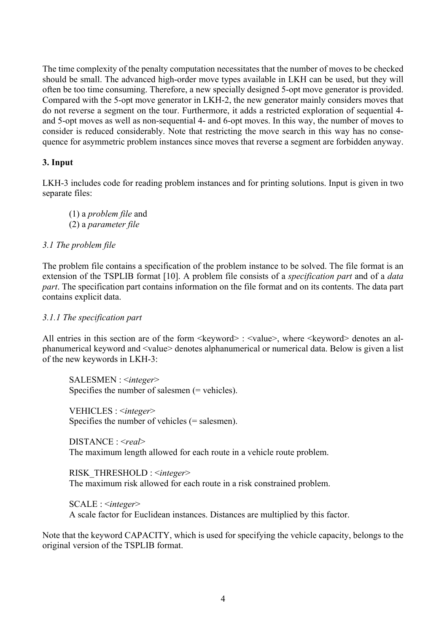The time complexity of the penalty computation necessitates that the number of moves to be checked should be small. The advanced high-order move types available in LKH can be used, but they will often be too time consuming. Therefore, a new specially designed 5-opt move generator is provided. Compared with the 5-opt move generator in LKH-2, the new generator mainly considers moves that do not reverse a segment on the tour. Furthermore, it adds a restricted exploration of sequential 4 and 5-opt moves as well as non-sequential 4- and 6-opt moves. In this way, the number of moves to consider is reduced considerably. Note that restricting the move search in this way has no consequence for asymmetric problem instances since moves that reverse a segment are forbidden anyway.

# **3. Input**

LKH-3 includes code for reading problem instances and for printing solutions. Input is given in two separate files:

(1) a *problem file* and (2) a *parameter file*

# *3.1 The problem file*

The problem file contains a specification of the problem instance to be solved. The file format is an extension of the TSPLIB format [10]. A problem file consists of a *specification part* and of a *data part*. The specification part contains information on the file format and on its contents. The data part contains explicit data.

# *3.1.1 The specification part*

All entries in this section are of the form  $\langle$ keyword $\rangle$ :  $\langle$ value $\rangle$ , where  $\langle$ keyword $\rangle$  denotes an alphanumerical keyword and <value> denotes alphanumerical or numerical data. Below is given a list of the new keywords in LKH-3:

SALESMEN : <*integer*> Specifies the number of salesmen (= vehicles).

VEHICLES : <*integer*> Specifies the number of vehicles (= salesmen).

DISTANCE : <*real*> The maximum length allowed for each route in a vehicle route problem.

RISK\_THRESHOLD : <*integer*> The maximum risk allowed for each route in a risk constrained problem.

SCALE : <*integer*> A scale factor for Euclidean instances. Distances are multiplied by this factor.

Note that the keyword CAPACITY, which is used for specifying the vehicle capacity, belongs to the original version of the TSPLIB format.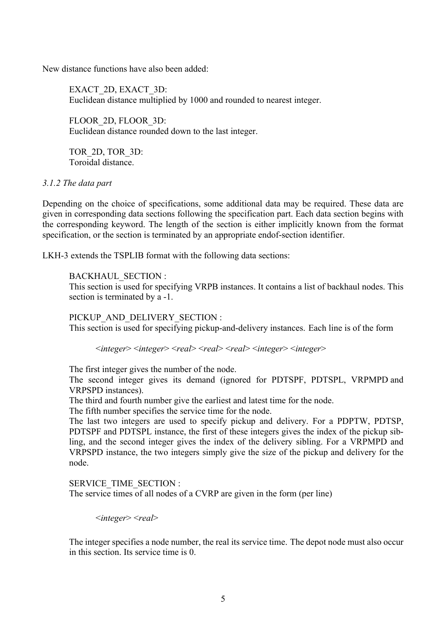New distance functions have also been added:

EXACT\_2D, EXACT\_3D: Euclidean distance multiplied by 1000 and rounded to nearest integer.

FLOOR\_2D, FLOOR\_3D: Euclidean distance rounded down to the last integer.

TOR\_2D, TOR\_3D: Toroidal distance.

### *3.1.2 The data part*

Depending on the choice of specifications, some additional data may be required. These data are given in corresponding data sections following the specification part. Each data section begins with the corresponding keyword. The length of the section is either implicitly known from the format specification, or the section is terminated by an appropriate endof-section identifier.

LKH-3 extends the TSPLIB format with the following data sections:

#### BACKHAUL\_SECTION :

This section is used for specifying VRPB instances. It contains a list of backhaul nodes. This section is terminated by a -1.

#### PICKUP AND DELIVERY SECTION :

This section is used for specifying pickup-and-delivery instances. Each line is of the form

<*integer*> <*integer*> <*real*> <*real*> <*real*> <*integer*> <*integer*>

The first integer gives the number of the node.

The second integer gives its demand (ignored for PDTSPF, PDTSPL, VRPMPD and VRPSPD instances).

The third and fourth number give the earliest and latest time for the node.

The fifth number specifies the service time for the node.

The last two integers are used to specify pickup and delivery. For a PDPTW, PDTSP, PDTSPF and PDTSPL instance, the first of these integers gives the index of the pickup sibling, and the second integer gives the index of the delivery sibling. For a VRPMPD and VRPSPD instance, the two integers simply give the size of the pickup and delivery for the node.

SERVICE\_TIME\_SECTION : The service times of all nodes of a CVRP are given in the form (per line)

<*integer*> <*real*>

The integer specifies a node number, the real its service time. The depot node must also occur in this section. Its service time is 0.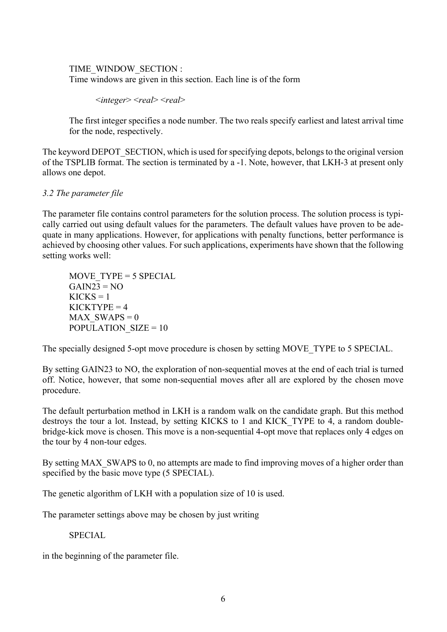TIME\_WINDOW\_SECTION : Time windows are given in this section. Each line is of the form

<*integer*> <*real*> <*real*>

The first integer specifies a node number. The two reals specify earliest and latest arrival time for the node, respectively.

The keyword DEPOT SECTION, which is used for specifying depots, belongs to the original version of the TSPLIB format. The section is terminated by a -1. Note, however, that LKH-3 at present only allows one depot.

# *3.2 The parameter file*

The parameter file contains control parameters for the solution process. The solution process is typically carried out using default values for the parameters. The default values have proven to be adequate in many applications. However, for applications with penalty functions, better performance is achieved by choosing other values. For such applications, experiments have shown that the following setting works well:

MOVE\_TYPE = 5 SPECIAL  $GAIN23 = NO$  $KICKS = 1$  $KICKTYPE = 4$  $MAX$  SWAPS = 0 POPULATION SIZE = 10

The specially designed 5-opt move procedure is chosen by setting MOVE\_TYPE to 5 SPECIAL.

By setting GAIN23 to NO, the exploration of non-sequential moves at the end of each trial is turned off. Notice, however, that some non-sequential moves after all are explored by the chosen move procedure.

The default perturbation method in LKH is a random walk on the candidate graph. But this method destroys the tour a lot. Instead, by setting KICKS to 1 and KICK\_TYPE to 4, a random doublebridge-kick move is chosen. This move is a non-sequential 4-opt move that replaces only 4 edges on the tour by 4 non-tour edges.

By setting MAX SWAPS to 0, no attempts are made to find improving moves of a higher order than specified by the basic move type (5 SPECIAL).

The genetic algorithm of LKH with a population size of 10 is used.

The parameter settings above may be chosen by just writing

SPECIAL

in the beginning of the parameter file.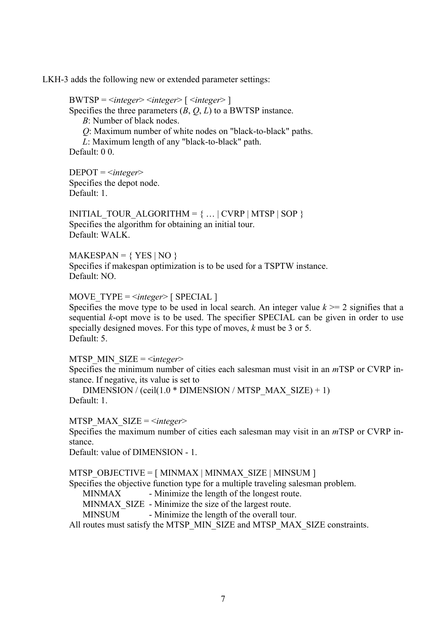LKH-3 adds the following new or extended parameter settings:

BWTSP = <*integer*> <*integer*> [ <*integer*> ] Specifies the three parameters (*B*, *Q*, *L*) to a BWTSP instance. *B*: Number of black nodes. *Q*: Maximum number of white nodes on "black-to-black" paths. *L*: Maximum length of any "black-to-black" path. Default: 0 0.

DEPOT = <*integer*> Specifies the depot node. Default: 1.

INITIAL\_TOUR\_ALGORITHM =  $\{ ... | CVRP | MTSP | SOP \}$ Specifies the algorithm for obtaining an initial tour. Default: WALK.

 $MAKESPAN = \{ Yes | NO \}$ Specifies if makespan optimization is to be used for a TSPTW instance. Default: NO.

MOVE\_TYPE = <*integer*> [ SPECIAL ]

Specifies the move type to be used in local search. An integer value  $k \geq 2$  signifies that a sequential *k*-opt move is to be used. The specifier SPECIAL can be given in order to use specially designed moves. For this type of moves, *k* must be 3 or 5. Default: 5.

MTSP\_MIN\_SIZE = <i*nteger*>

Specifies the minimum number of cities each salesman must visit in an *m*TSP or CVRP instance. If negative, its value is set to

DIMENSION / (ceil $(1.0 * DIMENSION / MTSP MAX SIZE) + 1)$ ) Default: 1.

MTSP\_MAX\_SIZE = <*integer*>

Specifies the maximum number of cities each salesman may visit in an *m*TSP or CVRP instance.

Default: value of DIMENSION - 1.

MTSP\_OBJECTIVE =  $[$  MINMAX | MINMAX\_SIZE | MINSUM ]

Specifies the objective function type for a multiple traveling salesman problem.

MINMAX - Minimize the length of the longest route.

MINMAX SIZE - Minimize the size of the largest route.

MINSUM - Minimize the length of the overall tour.

All routes must satisfy the MTSP\_MIN\_SIZE and MTSP\_MAX\_SIZE constraints.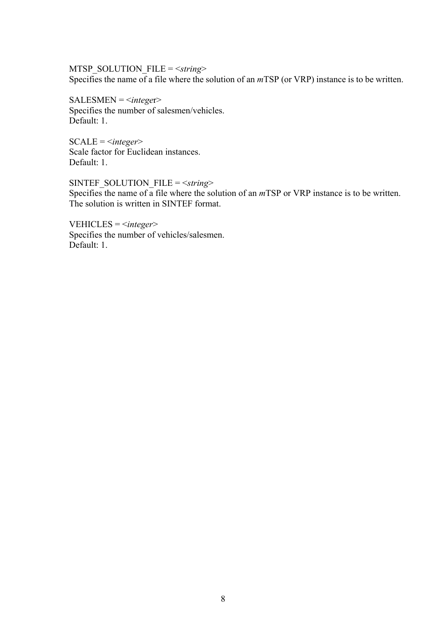MTSP\_SOLUTION\_FILE = <*string*> Specifies the name of a file where the solution of an *m*TSP (or VRP) instance is to be written.

SALESMEN = <*intege*r> Specifies the number of salesmen/vehicles. Default: 1.

SCALE = <*integer*> Scale factor for Euclidean instances. Default: 1.

SINTEF\_SOLUTION\_FILE = <*string*> Specifies the name of a file where the solution of an *m*TSP or VRP instance is to be written. The solution is written in SINTEF format.

VEHICLES = <*integer*> Specifies the number of vehicles/salesmen. Default: 1.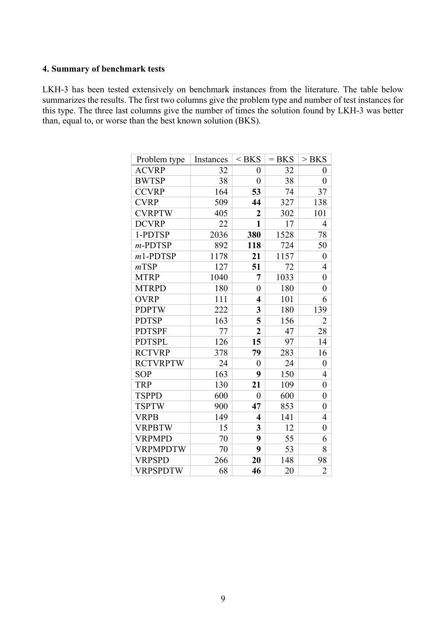## **4. Summary of benchmark tests**

LKH-3 has been tested extensively on benchmark instances from the literature. The table below summarizes the results. The first two columns give the problem type and number of test instances for this type. The three last columns give the number of times the solution found by LKH-3 was better than, equal to, or worse than the best known solution (BKS).

| Problem type    | Instances | $<$ BKS          | $= BKS$ | $>$ BKS          |
|-----------------|-----------|------------------|---------|------------------|
| <b>ACVRP</b>    | 32        | 0                | 32      | 0                |
| <b>BWTSP</b>    | 38        | $\overline{0}$   | 38      | $\overline{0}$   |
| <b>CCVRP</b>    | 164       | 53               | 74      | 37               |
| <b>CVRP</b>     | 509       | 44               | 327     | 138              |
| <b>CVRPTW</b>   | 405       | $\mathbf{2}$     | 302     | 101              |
| <b>DCVRP</b>    | 22        | $\mathbf{1}$     | 17      | 4                |
| 1-PDTSP         | 2036      | 380              | 1528    | 78               |
| $m$ -PDTSP      | 892       | 118              | 724     | 50               |
| $m1$ -PDTSP     | 1178      | 21               | 1157    | $\boldsymbol{0}$ |
| $m$ TSP         | 127       | 51               | 72      | 4                |
| <b>MTRP</b>     | 1040      | 7                | 1033    | $\overline{0}$   |
| <b>MTRPD</b>    | 180       | $\boldsymbol{0}$ | 180     | $\boldsymbol{0}$ |
| <b>OVRP</b>     | 111       | 4                | 101     | 6                |
| <b>PDPTW</b>    | 222       | 3                | 180     | 139              |
| <b>PDTSP</b>    | 163       | 5                | 156     | $\overline{2}$   |
| <b>PDTSPF</b>   | 77        | $\mathbf{2}$     | 47      | 28               |
| <b>PDTSPL</b>   | 126       | 15               | 97      | 14               |
| <b>RCTVRP</b>   | 378       | 79               | 283     | 16               |
| <b>RCTVRPTW</b> | 24        | $\overline{0}$   | 24      | $\overline{0}$   |
| <b>SOP</b>      | 163       | 9                | 150     | 4                |
| <b>TRP</b>      | 130       | 21               | 109     | $\boldsymbol{0}$ |
| <b>TSPPD</b>    | 600       | $\overline{0}$   | 600     | $\boldsymbol{0}$ |
| <b>TSPTW</b>    | 900       | 47               | 853     | $\boldsymbol{0}$ |
| <b>VRPB</b>     | 149       | 4                | 141     | 4                |
| <b>VRPBTW</b>   | 15        | 3                | 12      | $\boldsymbol{0}$ |
| <b>VRPMPD</b>   | 70        | 9                | 55      | 6                |
| <b>VRPMPDTW</b> | 70        | 9                | 53      | 8                |
| <b>VRPSPD</b>   | 266       | 20               | 148     | 98               |
| <b>VRPSPDTW</b> | 68        | 46               | 20      | $\overline{2}$   |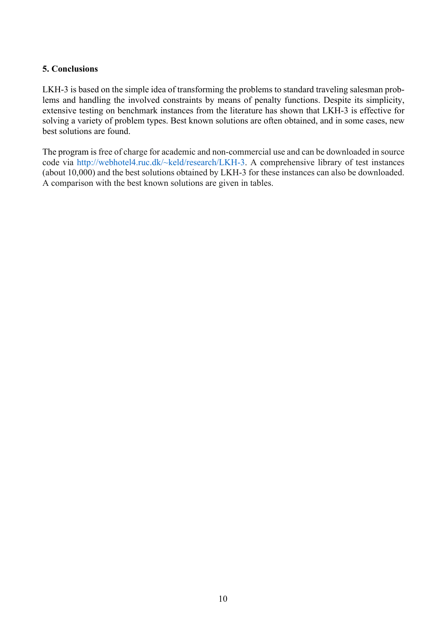## **5. Conclusions**

LKH-3 is based on the simple idea of transforming the problems to standard traveling salesman problems and handling the involved constraints by means of penalty functions. Despite its simplicity, extensive testing on benchmark instances from the literature has shown that LKH-3 is effective for solving a variety of problem types. Best known solutions are often obtained, and in some cases, new best solutions are found.

The program is free of charge for academic and non-commercial use and can be downloaded in source code via http://webhotel4.ruc.dk/~keld/research/LKH-3. A comprehensive library of test instances (about 10,000) and the best solutions obtained by LKH-3 for these instances can also be downloaded. A comparison with the best known solutions are given in tables.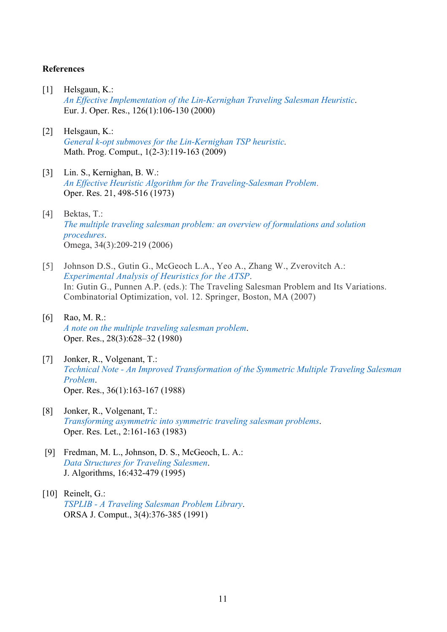#### **References**

- [1] Helsgaun, K.: *An Effective Implementation of the Lin-Kernighan Traveling Salesman Heuristic*. Eur. J. Oper. Res., 126(1):106-130 (2000)
- [2] Helsgaun, K.: *General k-opt submoves for the Lin-Kernighan TSP heuristic.*  Math. Prog. Comput., 1(2-3):119-163 (2009)
- [3] Lin. S., Kernighan, B. W.: *An Effective Heuristic Algorithm for the Traveling-Salesman Problem*. Oper. Res. 21, 498-516 (1973)
- [4] Bektas, T.: *The multiple traveling salesman problem: an overview of formulations and solution procedures*. Omega, 34(3):209-219 (2006)
- [5] Johnson D.S., Gutin G., McGeoch L.A., Yeo A., Zhang W., Zverovitch A.: *Experimental Analysis of Heuristics for the ATSP*. In: Gutin G., Punnen A.P. (eds.): The Traveling Salesman Problem and Its Variations. Combinatorial Optimization, vol. 12. Springer, Boston, MA (2007)
- [6] Rao, M. R.: *A note on the multiple traveling salesman problem*. Oper. Res., 28(3):628–32 (1980)
- [7] Jonker, R., Volgenant, T.: *Technical Note - An Improved Transformation of the Symmetric Multiple Traveling Salesman Problem*. Oper. Res., 36(1):163-167 (1988)
- [8] Jonker, R., Volgenant, T.: *Transforming asymmetric into symmetric traveling salesman problems*. Oper. Res. Let., 2:161-163 (1983)
- [9] Fredman, M. L., Johnson, D. S., McGeoch, L. A.: *Data Structures for Traveling Salesmen*. J. Algorithms, 16:432-479 (1995)
- [10] Reinelt, G.: *TSPLIB - A Traveling Salesman Problem Library*. ORSA J. Comput., 3(4):376-385 (1991)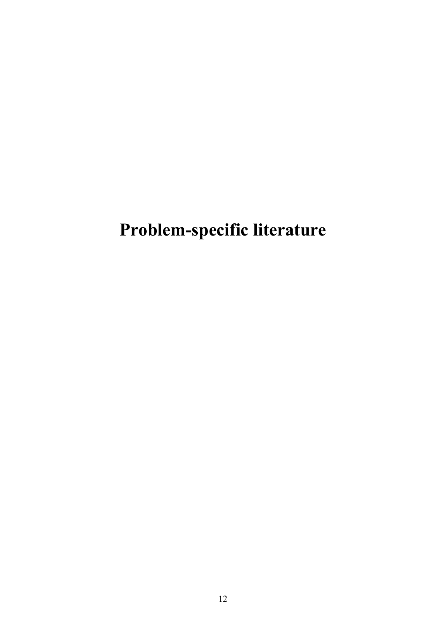**Problem-specific literature**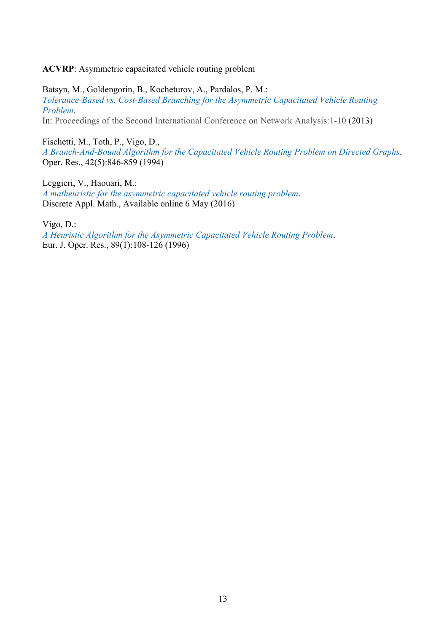**ACVRP**: Asymmetric capacitated vehicle routing problem

Batsyn, M., Goldengorin, B., Kocheturov, A., Pardalos, P. M.:

*Tolerance-Based vs. Cost-Based Branching for the Asymmetric Capacitated Vehicle Routing Problem*.

In: Proceedings of the Second International Conference on Network Analysis:1-10 (2013)

Fischetti, M., Toth, P., Vigo, D.,

*A Branch-And-Bound Algorithm for the Capacitated Vehicle Routing Problem on Directed Graphs*. Oper. Res., 42(5):846-859 (1994)

Leggieri, V., Haouari, M.: *A matheuristic for the asymmetric capacitated vehicle routing problem*. Discrete Appl. Math., Available online 6 May (2016)

Vigo, D.:

*A Heuristic Algorithm for the Asymmetric Capacitated Vehicle Routing Problem*. Eur. J. Oper. Res., 89(1):108-126 (1996)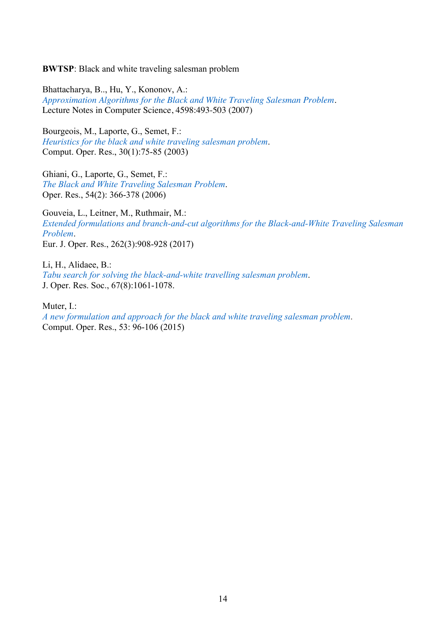**BWTSP**: Black and white traveling salesman problem

Bhattacharya, B.., Hu, Y., Kononov, A.: *Approximation Algorithms for the Black and White Traveling Salesman Problem*. Lecture Notes in Computer Science, 4598:493-503 (2007)

Bourgeois, M., Laporte, G., Semet, F.: *Heuristics for the black and white traveling salesman problem*. Comput. Oper. Res., 30(1):75-85 (2003)

Ghiani, G., Laporte, G., Semet, F.: *The Black and White Traveling Salesman Problem*. Oper. Res., 54(2): 366-378 (2006)

Gouveia, L., Leitner, M., Ruthmair, M.: *Extended formulations and branch-and-cut algorithms for the Black-and-White Traveling Salesman Problem*. Eur. J. Oper. Res., 262(3):908-928 (2017)

Li, H., Alidaee, B.: *Tabu search for solving the black-and-white travelling salesman problem*. J. Oper. Res. Soc., 67(8):1061-1078.

Muter, I.: *A new formulation and approach for the black and white traveling salesman problem*. Comput. Oper. Res., 53: 96-106 (2015)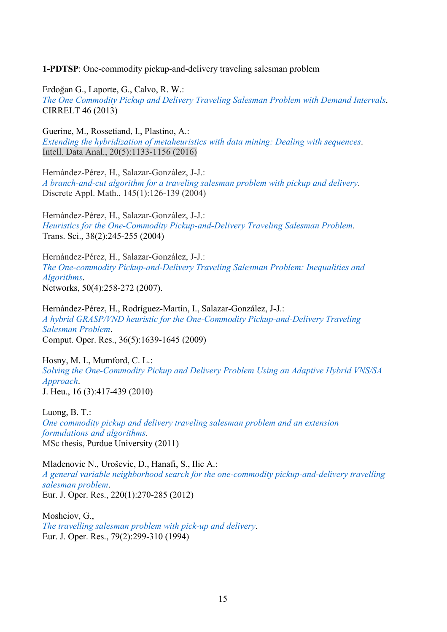**1-PDTSP**: One-commodity pickup-and-delivery traveling salesman problem

Erdoğan G., Laporte, G., Calvo, R. W.: *The One Commodity Pickup and Delivery Traveling Salesman Problem with Demand Intervals*. CIRRELT 46 (2013)

Guerine, M., Rossetiand, I., Plastino, A.: *Extending the hybridization of metaheuristics with data mining: Dealing with sequences*. Intell. Data Anal., 20(5):1133-1156 (2016)

Hernández-Pérez, H., Salazar-González, J-J.: *A branch-and-cut algorithm for a traveling salesman problem with pickup and delivery*. Discrete Appl. Math., 145(1):126-139 (2004)

Hernández-Pérez, H., Salazar-González, J-J.: *Heuristics for the One-Commodity Pickup-and-Delivery Traveling Salesman Problem*. Trans. Sci., 38(2):245-255 (2004)

Hernández-Pérez, H., Salazar-González, J-J.: *The One-commodity Pickup-and-Delivery Traveling Salesman Problem: Inequalities and Algorithms*. Networks, 50(4):258-272 (2007).

Hernández-Pérez, H., Rodríguez-Martín, I., Salazar-González, J-J.: *A hybrid GRASP/VND heuristic for the One-Commodity Pickup-and-Delivery Traveling Salesman Problem*. Comput. Oper. Res., 36(5):1639-1645 (2009)

Hosny, M. I., Mumford, C. L.: *Solving the One-Commodity Pickup and Delivery Problem Using an Adaptive Hybrid VNS/SA Approach*. J. Heu., 16 (3):417-439 (2010)

Luong, B. T.: *One commodity pickup and delivery traveling salesman problem and an extension formulations and algorithms*. MSc thesis, Purdue University (2011)

Mladenovic N., Uroševic, D., Hanafi, S., Ilic A.: *A general variable neighborhood search for the one-commodity pickup-and-delivery travelling salesman problem*. Eur. J. Oper. Res., 220(1):270-285 (2012)

Mosheiov, G., *The travelling salesman problem with pick-up and delivery*. Eur. J. Oper. Res., 79(2):299-310 (1994)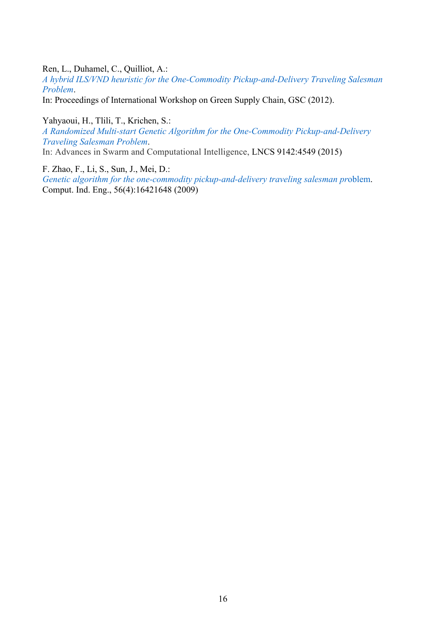Ren, L., Duhamel, C., Quilliot, A.:

*A hybrid ILS/VND heuristic for the One-Commodity Pickup-and-Delivery Traveling Salesman Problem*.

In: Proceedings of International Workshop on Green Supply Chain, GSC (2012).

Yahyaoui, H., Tlili, T., Krichen, S.:

*A Randomized Multi-start Genetic Algorithm for the One-Commodity Pickup-and-Delivery Traveling Salesman Problem*.

In: Advances in Swarm and Computational Intelligence, LNCS 9142:4549 (2015)

F. Zhao, F., Li, S., Sun, J., Mei, D.: *Genetic algorithm for the one-commodity pickup-and-delivery traveling salesman pr*oblem. Comput. Ind. Eng., 56(4):16421648 (2009)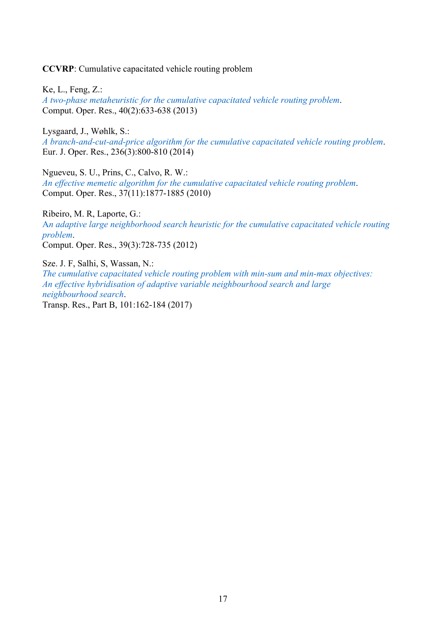**CCVRP**: Cumulative capacitated vehicle routing problem

Ke, L., Feng, Z.: *A two-phase metaheuristic for the cumulative capacitated vehicle routing problem*. Comput. Oper. Res., 40(2):633-638 (2013)

Lysgaard, J., Wøhlk, S.: *A branch-and-cut-and-price algorithm for the cumulative capacitated vehicle routing problem*. Eur. J. Oper. Res., 236(3):800-810 (2014)

Ngueveu, S. U., Prins, C., Calvo, R. W.: *An effective memetic algorithm for the cumulative capacitated vehicle routing problem*. Comput. Oper. Res., 37(11):1877-1885 (2010)

Ribeiro, M. R, Laporte, G.: A*n adaptive large neighborhood search heuristic for the cumulative capacitated vehicle routing problem*. Comput. Oper. Res., 39(3):728-735 (2012)

Sze. J. F, Salhi, S, Wassan, N.: *The cumulative capacitated vehicle routing problem with min-sum and min-max objectives: An effective hybridisation of adaptive variable neighbourhood search and large neighbourhood search*. Transp. Res., Part B, 101:162-184 (2017)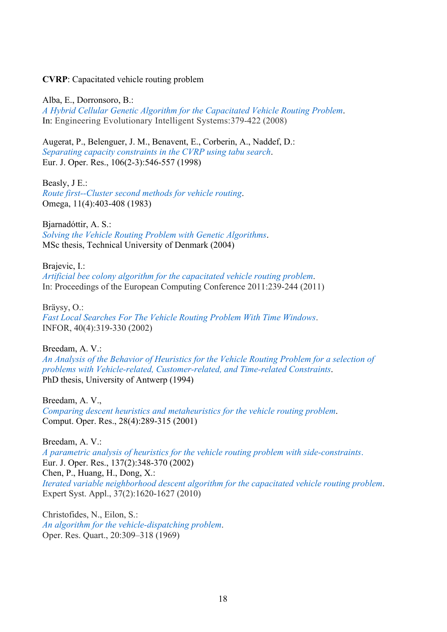### **CVRP**: Capacitated vehicle routing problem

Alba, E., Dorronsoro, B.:

*A Hybrid Cellular Genetic Algorithm for the Capacitated Vehicle Routing Problem*. In: Engineering Evolutionary Intelligent Systems:379-422 (2008)

Augerat, P., Belenguer, J. M., Benavent, E., Corberin, A., Naddef, D.: *Separating capacity constraints in the CVRP using tabu search*. Eur. J. Oper. Res., 106(2-3):546-557 (1998)

Beasly, J E.: *Route first--Cluster second methods for vehicle routing*. Omega, 11(4):403-408 (1983)

Bjarnadóttir, A. S.: *Solving the Vehicle Routing Problem with Genetic Algorithms*. MSc thesis, Technical University of Denmark (2004)

Brajevic, I.: *Artificial bee colony algorithm for the capacitated vehicle routing problem*. In: Proceedings of the European Computing Conference 2011:239-244 (2011)

Bräysy, O.: *Fast Local Searches For The Vehicle Routing Problem With Time Windows*. INFOR, 40(4):319-330 (2002)

Breedam, A. V.: *An Analysis of the Behavior of Heuristics for the Vehicle Routing Problem for a selection of problems with Vehicle-related, Customer-related, and Time-related Constraints*. PhD thesis, University of Antwerp (1994)

Breedam, A. V., *Comparing descent heuristics and metaheuristics for the vehicle routing problem*. Comput. Oper. Res., 28(4):289-315 (2001)

Breedam, A. V.: *A parametric analysis of heuristics for the vehicle routing problem with side-constraints*. Eur. J. Oper. Res., 137(2):348-370 (2002) Chen, P., Huang, H., Dong, X.: *Iterated variable neighborhood descent algorithm for the capacitated vehicle routing problem*. Expert Syst. Appl., 37(2):1620-1627 (2010)

Christofides, N., Eilon, S.: *An algorithm for the vehicle-dispatching problem*. Oper. Res. Quart., 20:309–318 (1969)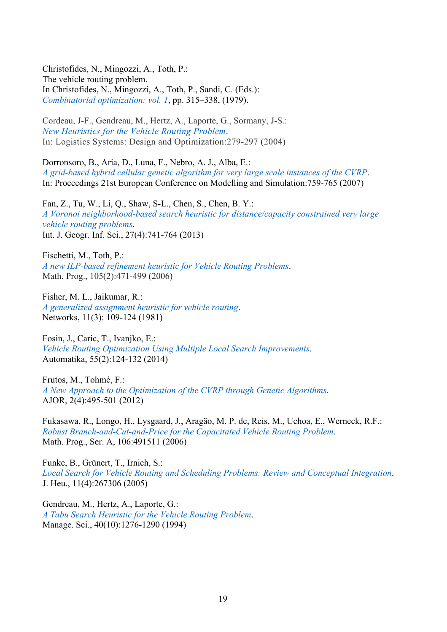Christofides, N., Mingozzi, A., Toth, P.: The vehicle routing problem. In Christofides, N., Mingozzi, A., Toth, P., Sandi, C. (Eds.): *Combinatorial optimization: vol. 1*, pp. 315–338, (1979).

Cordeau, J-F., Gendreau, M., Hertz, A., Laporte, G., Sormany, J-S.: *New Heuristics for the Vehicle Routing Problem*. In: Logistics Systems: Design and Optimization:279-297 (2004)

Dorronsoro, B., Aria, D., Luna, F., Nebro, A. J., Alba, E.: *A grid-based hybrid cellular genetic algorithm for very large scale instances of the CVRP*. In: Proceedings 21st European Conference on Modelling and Simulation:759-765 (2007)

Fan, Z., Tu, W., Li, Q., Shaw, S-L., Chen, S., Chen, B. Y.: *A Voronoi neighborhood-based search heuristic for distance/capacity constrained very large vehicle routing problems*. Int. J. Geogr. Inf. Sci., 27(4):741-764 (2013)

Fischetti, M., Toth, P.: *A new ILP-based refinement heuristic for Vehicle Routing Problems*. Math. Prog., 105(2):471-499 (2006)

Fisher, M. L., Jaikumar, R.: *A generalized assignment heuristic for vehicle routing*. Networks, 11(3): 109-124 (1981)

Fosin, J., Caric, T., Ivanjko, E.: *Vehicle Routing Optimization Using Multiple Local Search Improvements*. Automatika, 55(2):124-132 (2014)

Frutos, M., Tohmé, F.: *A New Approach to the Optimization of the CVRP through Genetic Algorithms*. AJOR, 2(4):495-501 (2012)

Fukasawa, R., Longo, H., Lysgaard, J., Aragäo, M. P. de, Reis, M., Uchoa, E., Werneck, R.F.: *Robust Branch-and-Cut-and-Price for the Capacitated Vehicle Routing Problem*. Math. Prog., Ser. A, 106:491511 (2006)

Funke, B., Grünert, T., Irnich, S.: *Local Search for Vehicle Routing and Scheduling Problems: Review and Conceptual Integration*. J. Heu., 11(4):267306 (2005)

Gendreau, M., Hertz, A., Laporte, G.: *A Tabu Search Heuristic for the Vehicle Routing Problem*. Manage. Sci., 40(10):1276-1290 (1994)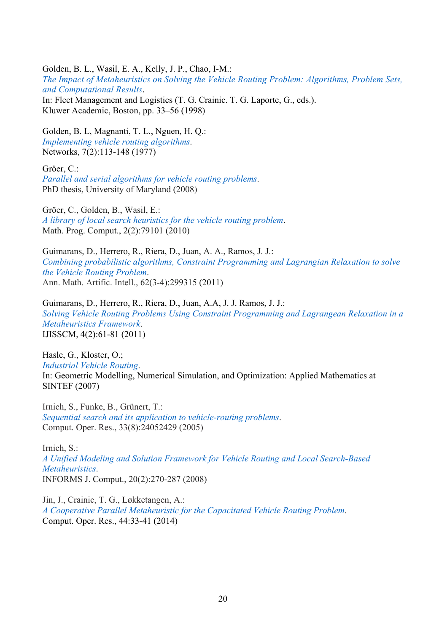Golden, B. L., Wasil, E. A., Kelly, J. P., Chao, I-M.: *The Impact of Metaheuristics on Solving the Vehicle Routing Problem: Algorithms, Problem Sets, and Computational Results*. In: Fleet Management and Logistics (T. G. Crainic. T. G. Laporte, G., eds.). Kluwer Academic, Boston, pp. 33–56 (1998)

Golden, B. L, Magnanti, T. L., Nguen, H. Q.: *Implementing vehicle routing algorithms*. Networks, 7(2):113-148 (1977)

Gröer, C.: *Parallel and serial algorithms for vehicle routing problems*. PhD thesis, University of Maryland (2008)

Gröer, C., Golden, B., Wasil, E.: *A library of local search heuristics for the vehicle routing problem*. Math. Prog. Comput., 2(2):79101 (2010)

Guimarans, D., Herrero, R., Riera, D., Juan, A. A., Ramos, J. J.: *Combining probabilistic algorithms, Constraint Programming and Lagrangian Relaxation to solve the Vehicle Routing Problem*. Ann. Math. Artific. Intell., 62(3-4):299315 (2011)

Guimarans, D., Herrero, R., Riera, D., Juan, A.A, J. J. Ramos, J. J.: *Solving Vehicle Routing Problems Using Constraint Programming and Lagrangean Relaxation in a Metaheuristics Framework*. IJISSCM, 4(2):61-81 (2011)

Hasle, G., Kloster, O.; *Industrial Vehicle Routing*. In: Geometric Modelling, Numerical Simulation, and Optimization: Applied Mathematics at SINTEF (2007)

Irnich, S., Funke, B., Grünert, T.: *Sequential search and its application to vehicle-routing problems*. Comput. Oper. Res., 33(8):24052429 (2005)

Irnich, S.: *A Unified Modeling and Solution Framework for Vehicle Routing and Local Search-Based Metaheuristics*. INFORMS J. Comput., 20(2):270-287 (2008)

Jin, J., Crainic, T. G., Løkketangen, A.: *A Cooperative Parallel Metaheuristic for the Capacitated Vehicle Routing Problem*. Comput. Oper. Res., 44:33-41 (2014)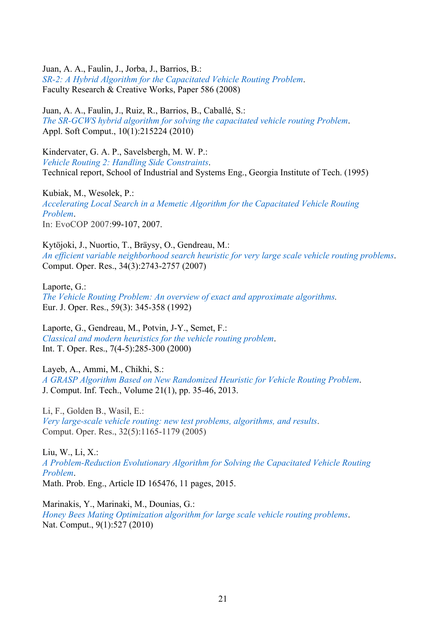Juan, A. A., Faulin, J., Jorba, J., Barrios, B.: *SR-2: A Hybrid Algorithm for the Capacitated Vehicle Routing Problem*. Faculty Research & Creative Works, Paper 586 (2008)

Juan, A. A., Faulin, J., Ruiz, R., Barrios, B., Caballé, S.: *The SR-GCWS hybrid algorithm for solving the capacitated vehicle routing Problem*. Appl. Soft Comput., 10(1):215224 (2010)

Kindervater, G. A. P., Savelsbergh, M. W. P.: *Vehicle Routing 2: Handling Side Constraints*. Technical report, School of Industrial and Systems Eng., Georgia Institute of Tech. (1995)

Kubiak, M., Wesolek, P.: *Accelerating Local Search in a Memetic Algorithm for the Capacitated Vehicle Routing Problem*. In: EvoCOP 2007:99-107, 2007.

Kytöjoki, J., Nuortio, T., Bräysy, O., Gendreau, M.: *An efficient variable neighborhood search heuristic for very large scale vehicle routing problems*. Comput. Oper. Res., 34(3):2743-2757 (2007)

Laporte, G.: *The Vehicle Routing Problem: An overview of exact and approximate algorithms.* Eur. J. Oper. Res., 59(3): 345-358 (1992)

Laporte, G., Gendreau, M., Potvin, J-Y., Semet, F.: *Classical and modern heuristics for the vehicle routing problem*. Int. T. Oper. Res., 7(4-5):285-300 (2000)

Layeb, A., Ammi, M., Chikhi, S.: *A GRASP Algorithm Based on New Randomized Heuristic for Vehicle Routing Problem*. J. Comput. Inf. Tech., Volume 21(1), pp. 35-46, 2013.

Li, F., Golden B., Wasil, E.: *Very large-scale vehicle routing: new test problems, algorithms, and results*. Comput. Oper. Res., 32(5):1165-1179 (2005)

Liu, W., Li, X.: *A Problem-Reduction Evolutionary Algorithm for Solving the Capacitated Vehicle Routing Problem*. Math. Prob. Eng., Article ID 165476, 11 pages, 2015.

Marinakis, Y., Marinaki, M., Dounias, G.: *Honey Bees Mating Optimization algorithm for large scale vehicle routing problems*. Nat. Comput., 9(1):527 (2010)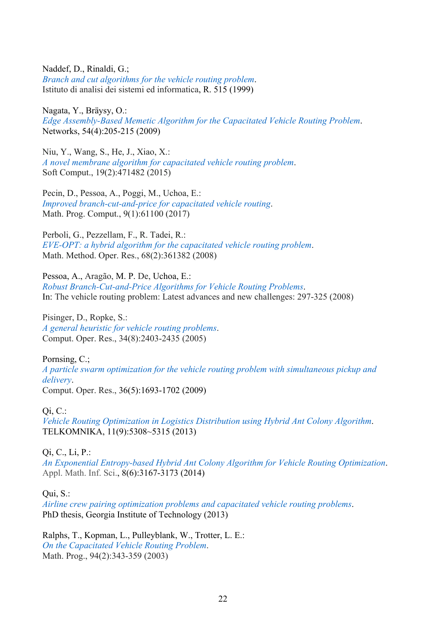Naddef, D., Rinaldi, G.; *Branch and cut algorithms for the vehicle routing problem*. Istituto di analisi dei sistemi ed informatica, R. 515 (1999)

Nagata, Y., Bräysy, O.: *Edge Assembly-Based Memetic Algorithm for the Capacitated Vehicle Routing Problem*. Networks, 54(4):205-215 (2009)

Niu, Y., Wang, S., He, J., Xiao, X.: *A novel membrane algorithm for capacitated vehicle routing problem*. Soft Comput., 19(2):471482 (2015)

Pecin, D., Pessoa, A., Poggi, M., Uchoa, E.: *Improved branch-cut-and-price for capacitated vehicle routing*. Math. Prog. Comput., 9(1):61100 (2017)

Perboli, G., Pezzellam, F., R. Tadei, R.: *EVE-OPT: a hybrid algorithm for the capacitated vehicle routing problem*. Math. Method. Oper. Res., 68(2):361382 (2008)

Pessoa, A., Aragão, M. P. De, Uchoa, E.: *Robust Branch-Cut-and-Price Algorithms for Vehicle Routing Problems*. In: The vehicle routing problem: Latest advances and new challenges: 297-325 (2008)

Pisinger, D., Ropke, S.: *A general heuristic for vehicle routing problems*. Comput. Oper. Res., 34(8):2403-2435 (2005)

Pornsing, C.; *A particle swarm optimization for the vehicle routing problem with simultaneous pickup and delivery*. Comput. Oper. Res., 36(5):1693-1702 (2009)

 $Oi, C$ .: *Vehicle Routing Optimization in Logistics Distribution using Hybrid Ant Colony Algorithm*. TELKOMNIKA, 11(9):5308~5315 (2013)

Qi, C., Li, P.:

*An Exponential Entropy-based Hybrid Ant Colony Algorithm for Vehicle Routing Optimization*. Appl. Math. Inf. Sci., 8(6):3167-3173 (2014)

Qui, S.:

*Airline crew pairing optimization problems and capacitated vehicle routing problems*. PhD thesis, Georgia Institute of Technology (2013)

Ralphs, T., Kopman, L., Pulleyblank, W., Trotter, L. E.: *On the Capacitated Vehicle Routing Problem*. Math. Prog., 94(2):343-359 (2003)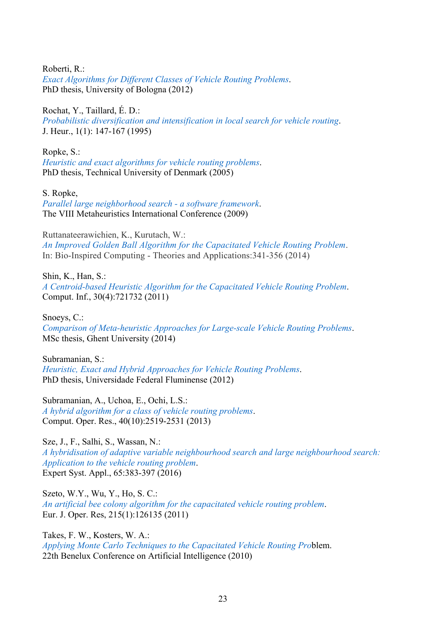Roberti, R.: *Exact Algorithms for Different Classes of Vehicle Routing Problems*. PhD thesis, University of Bologna (2012)

Rochat, Y., Taillard, É. D.:

*Probabilistic diversification and intensification in local search for vehicle routing*. J. Heur., 1(1): 147-167 (1995)

Ropke, S.:

*Heuristic and exact algorithms for vehicle routing problems*. PhD thesis, Technical University of Denmark (2005)

S. Ropke,

*Parallel large neighborhood search - a software framework*. The VIII Metaheuristics International Conference (2009)

Ruttanateerawichien, K., Kurutach, W.:

*An Improved Golden Ball Algorithm for the Capacitated Vehicle Routing Problem*. In: Bio-Inspired Computing - Theories and Applications:341-356 (2014)

Shin, K., Han, S.: *A Centroid-based Heuristic Algorithm for the Capacitated Vehicle Routing Problem*. Comput. Inf., 30(4):721732 (2011)

Snoeys, C.: *Comparison of Meta-heuristic Approaches for Large-scale Vehicle Routing Problems*. MSc thesis, Ghent University (2014)

Subramanian, S.: *Heuristic, Exact and Hybrid Approaches for Vehicle Routing Problems*. PhD thesis, Universidade Federal Fluminense (2012)

Subramanian, A., Uchoa, E., Ochi, L.S.: *A hybrid algorithm for a class of vehicle routing problems*. Comput. Oper. Res., 40(10):2519-2531 (2013)

Sze, J., F., Salhi, S., Wassan, N.: *A hybridisation of adaptive variable neighbourhood search and large neighbourhood search: Application to the vehicle routing problem*. Expert Syst. Appl., 65:383-397 (2016)

Szeto, W.Y., Wu, Y., Ho, S. C.: *An artificial bee colony algorithm for the capacitated vehicle routing problem*. Eur. J. Oper. Res, 215(1):126135 (2011)

Takes, F. W., Kosters, W. A.: *Applying Monte Carlo Techniques to the Capacitated Vehicle Routing Pro*blem. 22th Benelux Conference on Artificial Intelligence (2010)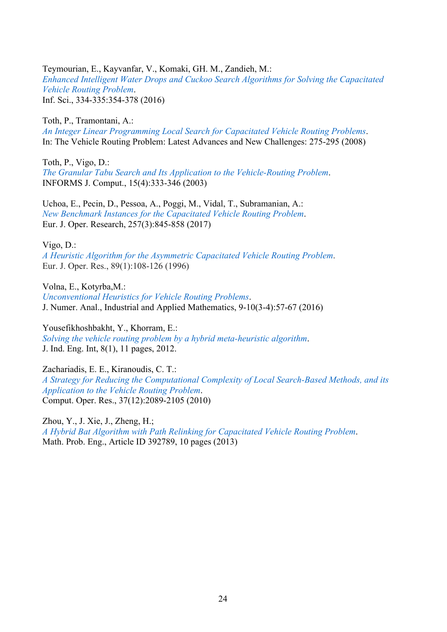Teymourian, E., Kayvanfar, V., Komaki, GH. M., Zandieh, M.: *Enhanced Intelligent Water Drops and Cuckoo Search Algorithms for Solving the Capacitated Vehicle Routing Problem*. Inf. Sci., 334-335:354-378 (2016)

Toth, P., Tramontani, A.: *An Integer Linear Programming Local Search for Capacitated Vehicle Routing Problems*. In: The Vehicle Routing Problem: Latest Advances and New Challenges: 275-295 (2008)

Toth, P., Vigo, D.: *The Granular Tabu Search and Its Application to the Vehicle-Routing Problem*. INFORMS J. Comput., 15(4):333-346 (2003)

Uchoa, E., Pecin, D., Pessoa, A., Poggi, M., Vidal, T., Subramanian, A.: *New Benchmark Instances for the Capacitated Vehicle Routing Problem*. Eur. J. Oper. Research, 257(3):845-858 (2017)

Vigo, D.:

*A Heuristic Algorithm for the Asymmetric Capacitated Vehicle Routing Problem*. Eur. J. Oper. Res., 89(1):108-126 (1996)

Volna, E., Kotyrba,M.: *Unconventional Heuristics for Vehicle Routing Problems*. J. Numer. Anal., Industrial and Applied Mathematics, 9-10(3-4):57-67 (2016)

Yousefikhoshbakht, Y., Khorram, E.: *Solving the vehicle routing problem by a hybrid meta-heuristic algorithm*. J. Ind. Eng. Int, 8(1), 11 pages, 2012.

Zachariadis, E. E., Kiranoudis, C. T.: *A Strategy for Reducing the Computational Complexity of Local Search-Based Methods, and its Application to the Vehicle Routing Problem*. Comput. Oper. Res., 37(12):2089-2105 (2010)

Zhou, Y., J. Xie, J., Zheng, H.; *A Hybrid Bat Algorithm with Path Relinking for Capacitated Vehicle Routing Problem*. Math. Prob. Eng., Article ID 392789, 10 pages (2013)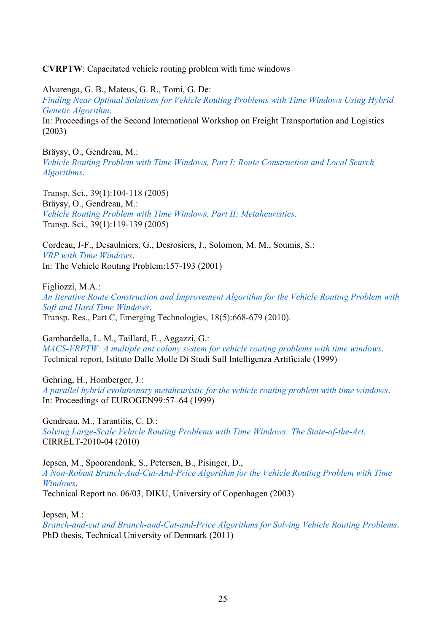**CVRPTW**: Capacitated vehicle routing problem with time windows

Alvarenga, G. B., Mateus, G. R., Tomi, G. De: *Finding Near Optimal Solutions for Vehicle Routing Problems with Time Windows Using Hybrid Genetic Algorithm*.

In: Proceedings of the Second International Workshop on Freight Transportation and Logistics (2003)

Bräysy, O., Gendreau, M.: *Vehicle Routing Problem with Time Windows, Part I: Route Construction and Local Search Algorithms*.

Transp. Sci., 39(1):104-118 (2005) Bräysy, O., Gendreau, M.: *Vehicle Routing Problem with Time Windows, Part II: Metaheuristics*. Transp. Sci., 39(1):119-139 (2005)

Cordeau, J-F., Desaulniers, G., Desrosiers, J., Solomon, M. M., Soumis, S.: *VRP with Time Windows*. In: The Vehicle Routing Problem:157-193 (2001)

Figliozzi, M.A.: *An Iterative Route Construction and Improvement Algorithm for the Vehicle Routing Problem with Soft and Hard Time Windows*. Transp. Res., Part C, Emerging Technologies, 18(5):668-679 (2010).

Gambardella, L. M., Taillard, E., Aggazzi, G.:

*MACS-VRPTW: A multiple ant colony system for vehicle routing problems with time windows*. Technical report, Istituto Dalle Molle Di Studi Sull Intelligenza Artificiale (1999)

Gehring, H., Homberger, J.: *A parallel hybrid evolutionary metaheuristic for the vehicle routing problem with time windows*. In: Proceedings of EUROGEN99:57–64 (1999)

Gendreau, M., Tarantilis, C. D.: *Solving Large-Scale Vehicle Routing Problems with Time Windows: The State-of-the-Art*. CIRRELT-2010-04 (2010)

Jepsen, M., Spoorendonk, S., Petersen, B., Pisinger, D., *A Non-Robust Branch-And-Cut-And-Price Algorithm for the Vehicle Routing Problem with Time Windows*.

Technical Report no. 06/03, DIKU, University of Copenhagen (2003)

Jepsen, M.:

*Branch-and-cut and Branch-and-Cut-and-Price Algorithms for Solving Vehicle Routing Problems*. PhD thesis, Technical University of Denmark (2011)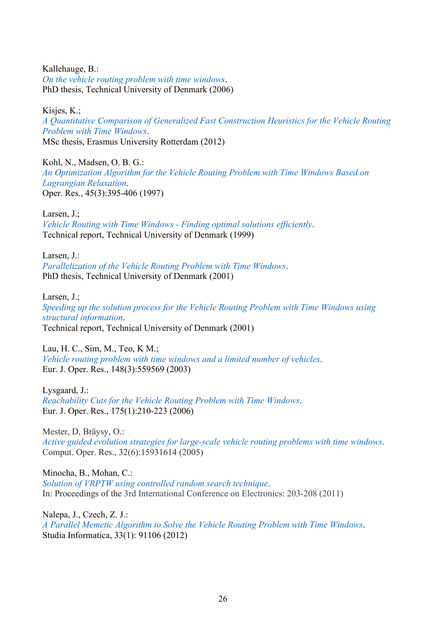Kallehauge, B.: *On the vehicle routing problem with time windows*. PhD thesis, Technical University of Denmark (2006)

Kisjes, K.; *A Quantitative Comparison of Generalized Fast Construction Heuristics for the Vehicle Routing Problem with Time Windows*. MSc thesis, Erasmus University Rotterdam (2012)

Kohl, N., Madsen, O. B. G.: *An Optimization Algorithm for the Vehicle Routing Problem with Time Windows Based on Lagrangian Relaxation*. Oper. Res., 45(3):395-406 (1997)

Larsen, J.; *Vehicle Routing with Time Windows - Finding optimal solutions efficiently*. Technical report, Technical University of Denmark (1999)

Larsen, J.: *Parallelization of the Vehicle Routing Problem with Time Windows*. PhD thesis, Technical University of Denmark (2001)

Larsen, J.; *Speeding up the solution process for the Vehicle Routing Problem with Time Windows using structural information*. Technical report, Technical University of Denmark (2001)

Lau, H. C., Sim, M., Teo, K M.; *Vehicle routing problem with time windows and a limited number of vehicles*. Eur. J. Oper. Res., 148(3):559569 (2003)

Lysgaard, J.: *Reachability Cuts for the Vehicle Routing Problem with Time Windows*. Eur. J. Oper. Res., 175(1):210-223 (2006)

Mester, D, Bräysy, O.: *Active guided evolution strategies for large-scale vehicle routing problems with time windows*. Comput. Oper. Res., 32(6):15931614 (2005)

Minocha, B., Mohan, C.: *Solution of VRPTW using controlled random search technique*. In: Proceedings of the 3rd International Conference on Electronics: 203-208 (2011)

Nalepa, J., Czech, Z. J.: *A Parallel Memetic Algorithm to Solve the Vehicle Routing Problem with Time Windows*. Studia Informatica, 33(1): 91106 (2012)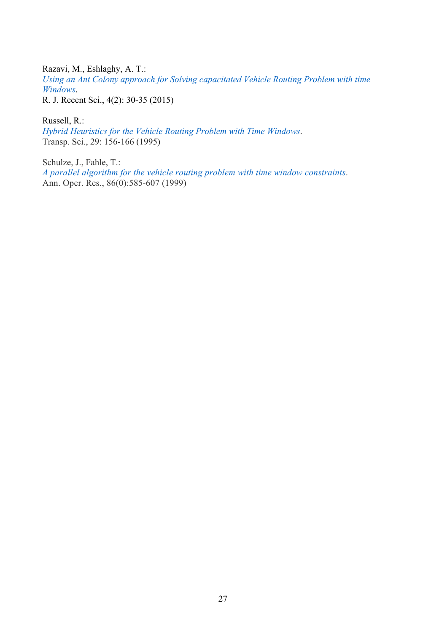Razavi, M., Eshlaghy, A. T.: *Using an Ant Colony approach for Solving capacitated Vehicle Routing Problem with time Windows*. R. J. Recent Sci., 4(2): 30-35 (2015)

Russell, R.: *Hybrid Heuristics for the Vehicle Routing Problem with Time Windows*. Transp. Sci., 29: 156-166 (1995)

Schulze, J., Fahle, T.: *A parallel algorithm for the vehicle routing problem with time window constraints*. Ann. Oper. Res., 86(0):585-607 (1999)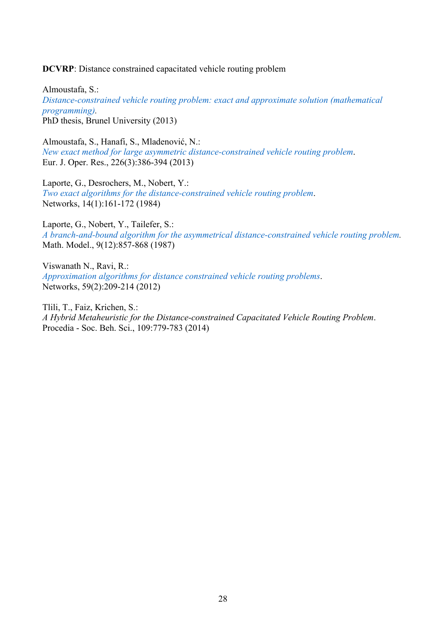**DCVRP**: Distance constrained capacitated vehicle routing problem

Almoustafa, S.: *Distance-constrained vehicle routing problem: exact and approximate solution (mathematical programming).* PhD thesis, Brunel University (2013)

Almoustafa, S., Hanafi, S., Mladenović, N.: *New exact method for large asymmetric distance-constrained vehicle routing problem*. Eur. J. Oper. Res., 226(3):386-394 (2013)

Laporte, G., Desrochers, M., Nobert, Y.: *Two exact algorithms for the distance-constrained vehicle routing problem*. Networks, 14(1):161-172 (1984)

Laporte, G., Nobert, Y., Tailefer, S.: *A branch-and-bound algorithm for the asymmetrical distance-constrained vehicle routing problem.* Math. Model., 9(12):857-868 (1987)

Viswanath N., Ravi, R.: *Approximation algorithms for distance constrained vehicle routing problems*. Networks, 59(2):209-214 (2012)

Tlili, T., Faiz, Krichen, S.: *A Hybrid Metaheuristic for the Distance-constrained Capacitated Vehicle Routing Problem*. Procedia - Soc. Beh. Sci., 109:779-783 (2014)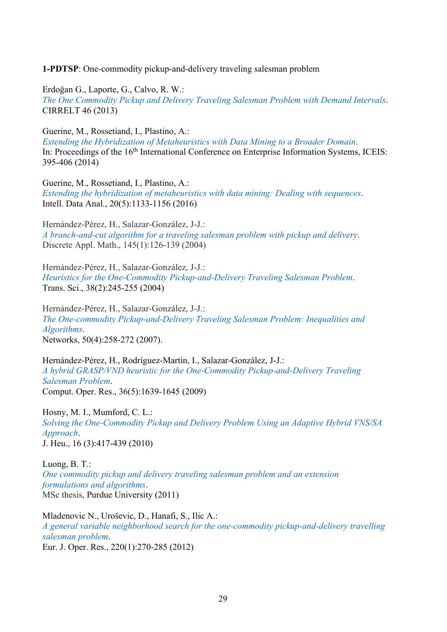**1-PDTSP**: One-commodity pickup-and-delivery traveling salesman problem

Erdoğan G., Laporte, G., Calvo, R. W.: *The One Commodity Pickup and Delivery Traveling Salesman Problem with Demand Intervals*. CIRRELT 46 (2013)

Guerine, M., Rossetiand, I., Plastino, A.: *Extending the Hybridization of Metaheuristics with Data Mining to a Broader Domain*. In: Proceedings of the 16<sup>th</sup> International Conference on Enterprise Information Systems, ICEIS: 395-406 (2014)

Guerine, M., Rossetiand, I., Plastino, A.: *Extending the hybridization of metaheuristics with data mining: Dealing with sequences*. Intell. Data Anal., 20(5):1133-1156 (2016)

Hernández-Pérez, H., Salazar-González, J-J.: *A branch-and-cut algorithm for a traveling salesman problem with pickup and delivery*. Discrete Appl. Math., 145(1):126-139 (2004)

Hernández-Pérez, H., Salazar-González, J-J.: *Heuristics for the One-Commodity Pickup-and-Delivery Traveling Salesman Problem*. Trans. Sci., 38(2):245-255 (2004)

Hernández-Pérez, H., Salazar-González, J-J.: *The One-commodity Pickup-and-Delivery Traveling Salesman Problem: Inequalities and Algorithms*. Networks, 50(4):258-272 (2007).

Hernández-Pérez, H., Rodríguez-Martín, I., Salazar-González, J-J.: *A hybrid GRASP/VND heuristic for the One-Commodity Pickup-and-Delivery Traveling Salesman Problem*. Comput. Oper. Res., 36(5):1639-1645 (2009)

Hosny, M. I., Mumford, C. L.: *Solving the One-Commodity Pickup and Delivery Problem Using an Adaptive Hybrid VNS/SA Approach*. J. Heu., 16 (3):417-439 (2010)

Luong, B. T.: *One commodity pickup and delivery traveling salesman problem and an extension formulations and algorithms*. MSc thesis, Purdue University (2011)

Mladenovic N., Uroševic, D., Hanafi, S., Ilic A.: *A general variable neighborhood search for the one-commodity pickup-and-delivery travelling salesman problem*. Eur. J. Oper. Res., 220(1):270-285 (2012)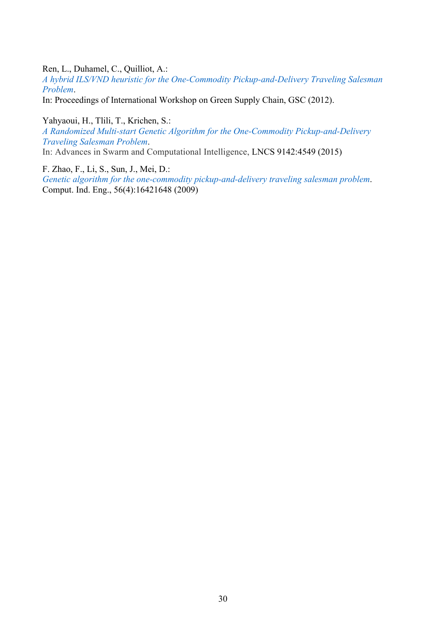Ren, L., Duhamel, C., Quilliot, A.:

*A hybrid ILS/VND heuristic for the One-Commodity Pickup-and-Delivery Traveling Salesman Problem*.

In: Proceedings of International Workshop on Green Supply Chain, GSC (2012).

Yahyaoui, H., Tlili, T., Krichen, S.:

*A Randomized Multi-start Genetic Algorithm for the One-Commodity Pickup-and-Delivery Traveling Salesman Problem*.

In: Advances in Swarm and Computational Intelligence, LNCS 9142:4549 (2015)

F. Zhao, F., Li, S., Sun, J., Mei, D.: *Genetic algorithm for the one-commodity pickup-and-delivery traveling salesman problem*. Comput. Ind. Eng., 56(4):16421648 (2009)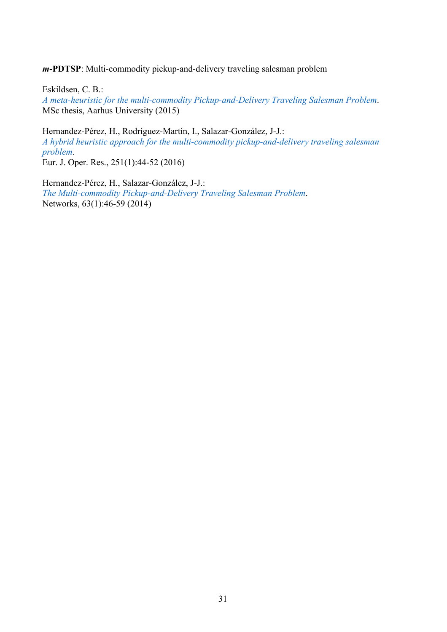*m***-PDTSP**: Multi-commodity pickup-and-delivery traveling salesman problem

Eskildsen, C. B.: *A meta-heuristic for the multi-commodity Pickup-and-Delivery Traveling Salesman Problem*. MSc thesis, Aarhus University (2015)

Hernandez-Pérez, H., Rodríguez-Martín, I., Salazar-González, J-J.: *A hybrid heuristic approach for the multi-commodity pickup-and-delivery traveling salesman problem*.

Eur. J. Oper. Res., 251(1):44-52 (2016)

Hernandez-Pérez, H., Salazar-González, J-J.: *The Multi-commodity Pickup-and-Delivery Traveling Salesman Problem*. Networks, 63(1):46-59 (2014)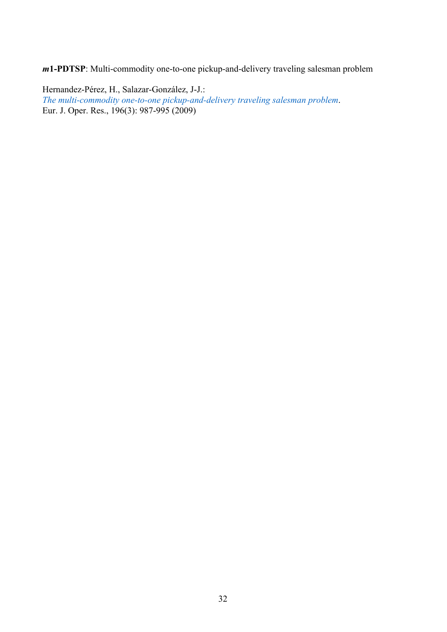*m***1-PDTSP**: Multi-commodity one-to-one pickup-and-delivery traveling salesman problem

Hernandez-Pérez, H., Salazar-González, J-J.: *The multi-commodity one-to-one pickup-and-delivery traveling salesman problem*. Eur. J. Oper. Res., 196(3): 987-995 (2009)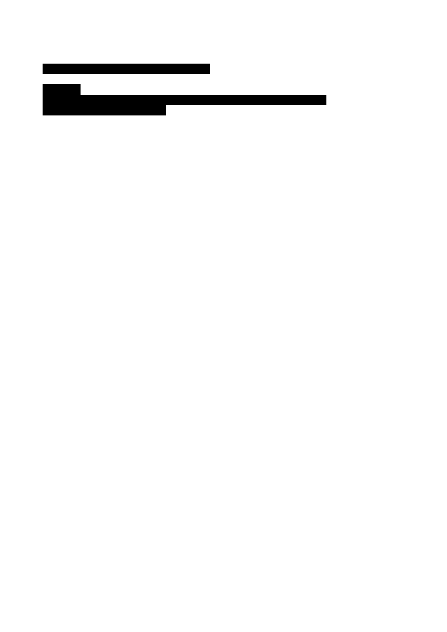8401 S"Y1/:'>/%":+-5%/'(,"+%>-'+=-(">+4?/%= "

X(B%+6"j@S "

=0L.)\*%+31&,-\*'(.)\*%.+31,-710.,%&8010%.+-'-+3+.1&,0'42.7%\*610+ @" 7'("#1+M'0\$9" #\$%08"-0M%(:"i('5%+0':I"J8H!FK

" X(B%+6"j@6"\*-+-6"Z@6"W%+I-6"#@S ""  $1"#$$$ %&'"(")\$\*)+(),--%&(\$.+)-/0,'%+&\$.+)\$-/0'%\*0"\$'),1"0%&(\$)"\*,%)-"&\$\*)#20"-#+-(0>6"[%0@"3+88SORTEa!"J8H!OK

" " "

"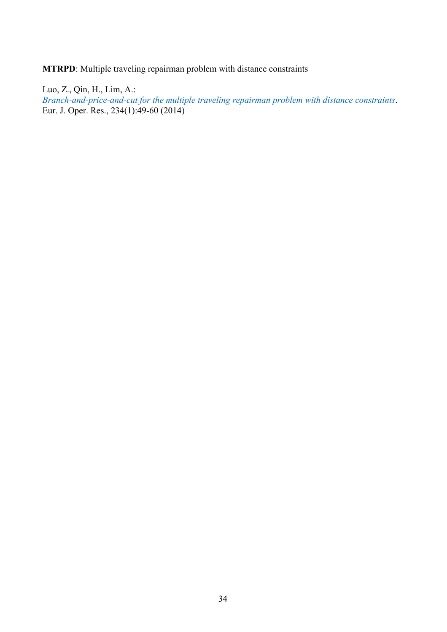**MTRPD**: Multiple traveling repairman problem with distance constraints

Luo, Z., Qin, H., Lim, A.: *Branch-and-price-and-cut for the multiple traveling repairman problem with distance constraints*. Eur. J. Oper. Res., 234(1):49-60 (2014)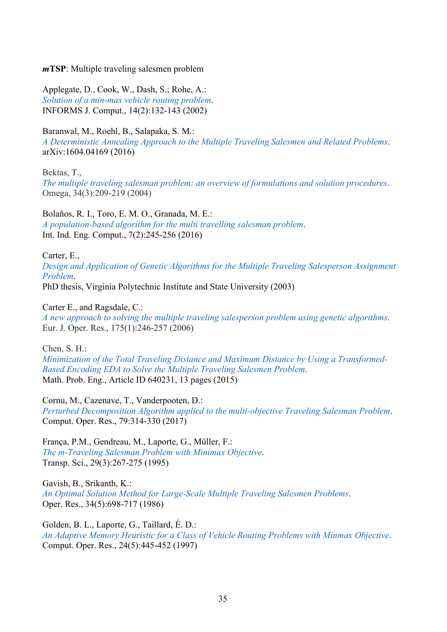*m***TSP**: Multiple traveling salesmen problem

Applegate, D., Cook, W., Dash, S.; Rohe, A.: *Solution of a min-max vehicle routing problem*. INFORMS J. Comput., 14(2):132-143 (2002)

Baranwal, M., Roehl, B., Salapaka, S. M.:

*A Deterministic Annealing Approach to the Multiple Traveling Salesmen and Related Problems*. arXiv:1604.04169 (2016)

Bektas, T., *The multiple traveling salesman problem: an overview of formulations and solution procedures*. Omega, 34(3):209-219 (2004)

Bolaños, R. I., Toro, E. M. O., Granada, M. E.: *A population-based algorithm for the multi travelling salesman problem*. Int. Ind. Eng. Comput., 7(2):245-256 (2016)

Carter, E., *Design and Application of Genetic Algorithms for the Multiple Traveling Salesperson Assignment Problem*. PhD thesis, Virginia Polytechnic Institute and State University (2003)

Carter E., and Ragsdale, C.:

*A new approach to solving the multiple traveling salesperson problem using genetic algorithms*. Eur. J. Oper. Res., 175(1):246-257 (2006)

Chen, S. H.: *Minimization of the Total Traveling Distance and Maximum Distance by Using a Transformed-Based Encoding EDA to Solve the Multiple Traveling Salesmen Problem*. Math. Prob. Eng., Article ID 640231, 13 pages (2015)

Cornu, M., Cazenave, T., Vanderpooten, D.: *Perturbed Decomposition Algorithm applied to the multi-objective Traveling Salesman Problem*. Comput. Oper. Res., 79:314-330 (2017)

França, P.M., Gendreau, M., Laporte, G., Müller, F.: *The m-Traveling Salesman Problem with Minimax Objective*. Transp. Sci., 29(3):267-275 (1995)

Gavish, B., Srikanth, K.: *An Optimal Solution Method for Large-Scale Multiple Traveling Salesmen Problems*. Oper. Res., 34(5):698-717 (1986)

Golden, B. L., Laporte, G., Taillard, É. D.: *An Adaptive Memory Heuristic for a Class of Vehicle Routing Problems with Minmax Objective*. Comput. Oper. Res., 24(5):445-452 (1997)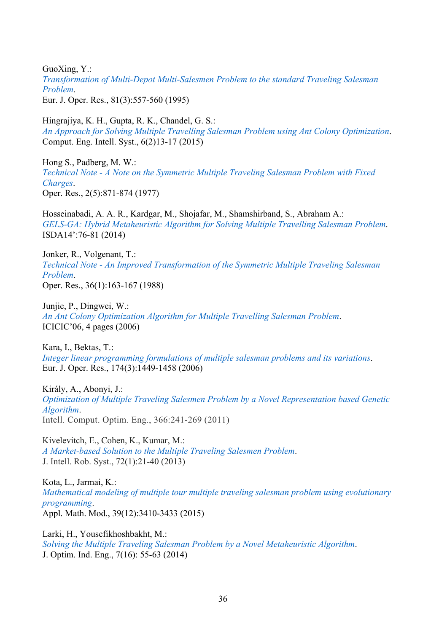GuoXing, Y.: *Transformation of Multi-Depot Multi-Salesmen Problem to the standard Traveling Salesman Problem*. Eur. J. Oper. Res., 81(3):557-560 (1995)

Hingrajiya, K. H., Gupta, R. K., Chandel, G. S.: *An Approach for Solving Multiple Travelling Salesman Problem using Ant Colony Optimization*. Comput. Eng. Intell. Syst., 6(2)13-17 (2015)

Hong S., Padberg, M. W.: *Technical Note - A Note on the Symmetric Multiple Traveling Salesman Problem with Fixed Charges*. Oper. Res., 2(5):871-874 (1977)

Hosseinabadi, A. A. R., Kardgar, M., Shojafar, M., Shamshirband, S., Abraham A.: *GELS-GA: Hybrid Metaheuristic Algorithm for Solving Multiple Travelling Salesman Problem*. ISDA14':76-81 (2014)

Jonker, R., Volgenant, T.: *Technical Note - An Improved Transformation of the Symmetric Multiple Traveling Salesman Problem*. Oper. Res., 36(1):163-167 (1988)

Junjie, P., Dingwei, W.: *An Ant Colony Optimization Algorithm for Multiple Travelling Salesman Problem*. ICICIC'06, 4 pages (2006)

Kara, I., Bektas, T.: *Integer linear programming formulations of multiple salesman problems and its variations*. Eur. J. Oper. Res., 174(3):1449-1458 (2006)

Király, A., Abonyi, J.: *Optimization of Multiple Traveling Salesmen Problem by a Novel Representation based Genetic Algorithm*. Intell. Comput. Optim. Eng., 366:241-269 (2011)

Kivelevitch, E., Cohen, K., Kumar, M.: *A Market-based Solution to the Multiple Traveling Salesmen Problem*. J. Intell. Rob. Syst., 72(1):21-40 (2013)

Kota, L., Jarmai, K.: *Mathematical modeling of multiple tour multiple traveling salesman problem using evolutionary programming*. Appl. Math. Mod., 39(12):3410-3433 (2015)

Larki, H., Yousefikhoshbakht, M.: *Solving the Multiple Traveling Salesman Problem by a Novel Metaheuristic Algorithm*. J. Optim. Ind. Eng., 7(16): 55-63 (2014)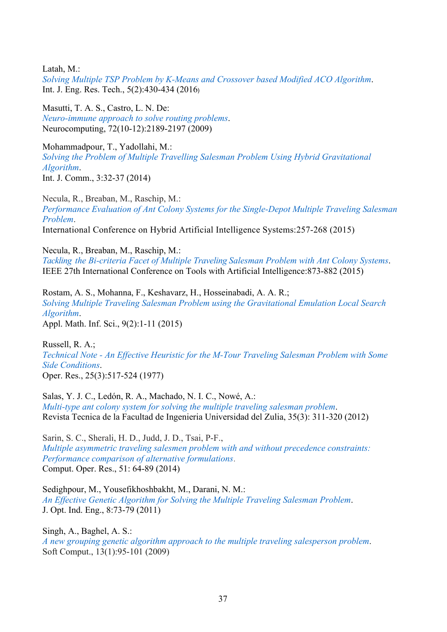Latah, M.: *Solving Multiple TSP Problem by K-Means and Crossover based Modified ACO Algorithm*. Int. J. Eng. Res. Tech., 5(2):430-434 (2016)

Masutti, T. A. S., Castro, L. N. De: *Neuro-immune approach to solve routing problems*. Neurocomputing, 72(10-12):2189-2197 (2009)

Mohammadpour, T., Yadollahi, M.: *Solving the Problem of Multiple Travelling Salesman Problem Using Hybrid Gravitational Algorithm*. Int. J. Comm., 3:32-37 (2014)

Necula, R., Breaban, M., Raschip, M.: *Performance Evaluation of Ant Colony Systems for the Single-Depot Multiple Traveling Salesman Problem*. International Conference on Hybrid Artificial Intelligence Systems:257-268 (2015)

Necula, R., Breaban, M., Raschip, M.: *Tackling the Bi-criteria Facet of Multiple Traveling Salesman Problem with Ant Colony Systems*. IEEE 27th International Conference on Tools with Artificial Intelligence:873-882 (2015)

Rostam, A. S., Mohanna, F., Keshavarz, H., Hosseinabadi, A. A. R.; *Solving Multiple Traveling Salesman Problem using the Gravitational Emulation Local Search Algorithm*. Appl. Math. Inf. Sci., 9(2):1-11 (2015)

Russell, R. A.; *Technical Note - An Effective Heuristic for the M-Tour Traveling Salesman Problem with Some Side Conditions*. Oper. Res., 25(3):517-524 (1977)

Salas, Y. J. C., Ledón, R. A., Machado, N. I. C., Nowé, A.: *Multi-type ant colony system for solving the multiple traveling salesman problem*. Revista Tecnica de la Facultad de Ingenieria Universidad del Zulia, 35(3): 311-320 (2012)

Sarin, S. C., Sherali, H. D., Judd, J. D., Tsai, P-F., *Multiple asymmetric traveling salesmen problem with and without precedence constraints: Performance comparison of alternative formulations*. Comput. Oper. Res., 51: 64-89 (2014)

Sedighpour, M., Yousefikhoshbakht, M., Darani, N. M.: *An Effective Genetic Algorithm for Solving the Multiple Traveling Salesman Problem*. J. Opt. Ind. Eng., 8:73-79 (2011)

Singh, A., Baghel, A. S.: *A new grouping genetic algorithm approach to the multiple traveling salesperson problem*. Soft Comput., 13(1):95-101 (2009)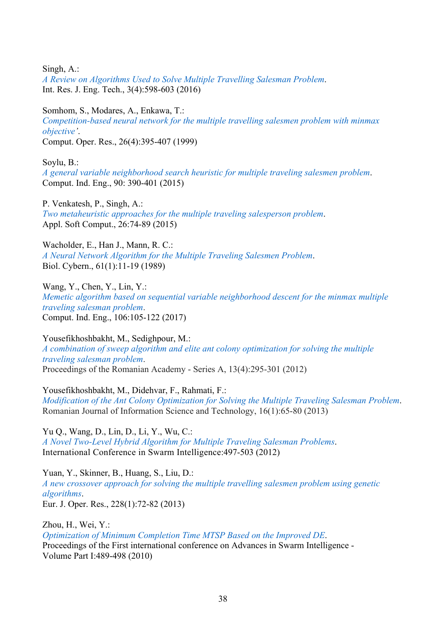Singh, A.:

*A Review on Algorithms Used to Solve Multiple Travelling Salesman Problem*. Int. Res. J. Eng. Tech., 3(4):598-603 (2016)

Somhom, S., Modares, A., Enkawa, T.:

*Competition-based neural network for the multiple travelling salesmen problem with minmax objective'*.

Comput. Oper. Res., 26(4):395-407 (1999)

Soylu, B.: *A general variable neighborhood search heuristic for multiple traveling salesmen problem*. Comput. Ind. Eng., 90: 390-401 (2015)

P. Venkatesh, P., Singh, A.: *Two metaheuristic approaches for the multiple traveling salesperson problem*. Appl. Soft Comput., 26:74-89 (2015)

Wacholder, E., Han J., Mann, R. C.: *A Neural Network Algorithm for the Multiple Traveling Salesmen Problem*. Biol. Cybern., 61(1):11-19 (1989)

Wang, Y., Chen, Y., Lin, Y.: *Memetic algorithm based on sequential variable neighborhood descent for the minmax multiple traveling salesman problem*. Comput. Ind. Eng., 106:105-122 (2017)

Yousefikhoshbakht, M., Sedighpour, M.: *A combination of sweep algorithm and elite ant colony optimization for solving the multiple traveling salesman problem*. Proceedings of the Romanian Academy - Series A, 13(4):295-301 (2012)

Yousefikhoshbakht, M., Didehvar, F., Rahmati, F.: *Modification of the Ant Colony Optimization for Solving the Multiple Traveling Salesman Problem*. Romanian Journal of Information Science and Technology, 16(1):65-80 (2013)

Yu Q., Wang, D., Lin, D., Li, Y., Wu, C.: *A Novel Two-Level Hybrid Algorithm for Multiple Traveling Salesman Problems*. International Conference in Swarm Intelligence:497-503 (2012)

Yuan, Y., Skinner, B., Huang, S., Liu, D.: *A new crossover approach for solving the multiple travelling salesmen problem using genetic algorithms*. Eur. J. Oper. Res., 228(1):72-82 (2013)

Zhou, H., Wei, Y.: *Optimization of Minimum Completion Time MTSP Based on the Improved DE*. Proceedings of the First international conference on Advances in Swarm Intelligence - Volume Part I:489-498 (2010)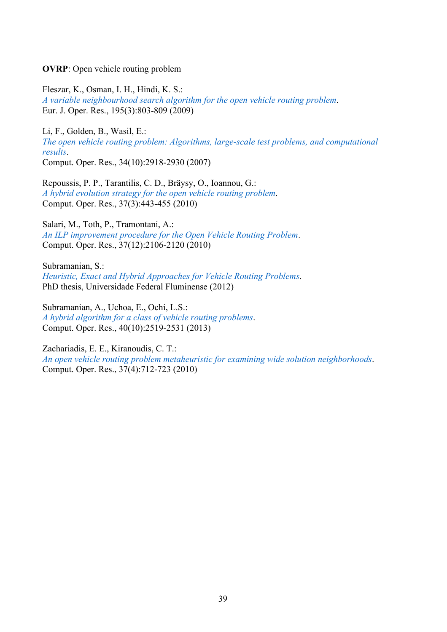**OVRP**: Open vehicle routing problem

Fleszar, K., Osman, I. H., Hindi, K. S.: *A variable neighbourhood search algorithm for the open vehicle routing problem*. Eur. J. Oper. Res., 195(3):803-809 (2009)

Li, F., Golden, B., Wasil, E.: *The open vehicle routing problem: Algorithms, large-scale test problems, and computational results*. Comput. Oper. Res., 34(10):2918-2930 (2007)

Repoussis, P. P., Tarantilis, C. D., Bräysy, O., Ioannou, G.: *A hybrid evolution strategy for the open vehicle routing problem*. Comput. Oper. Res., 37(3):443-455 (2010)

Salari, M., Toth, P., Tramontani, A.: *An ILP improvement procedure for the Open Vehicle Routing Problem*. Comput. Oper. Res., 37(12):2106-2120 (2010)

Subramanian, S.: *Heuristic, Exact and Hybrid Approaches for Vehicle Routing Problems*. PhD thesis, Universidade Federal Fluminense (2012)

Subramanian, A., Uchoa, E., Ochi, L.S.: *A hybrid algorithm for a class of vehicle routing problems*. Comput. Oper. Res., 40(10):2519-2531 (2013)

Zachariadis, E. E., Kiranoudis, C. T.: *An open vehicle routing problem metaheuristic for examining wide solution neighborhoods*. Comput. Oper. Res., 37(4):712-723 (2010)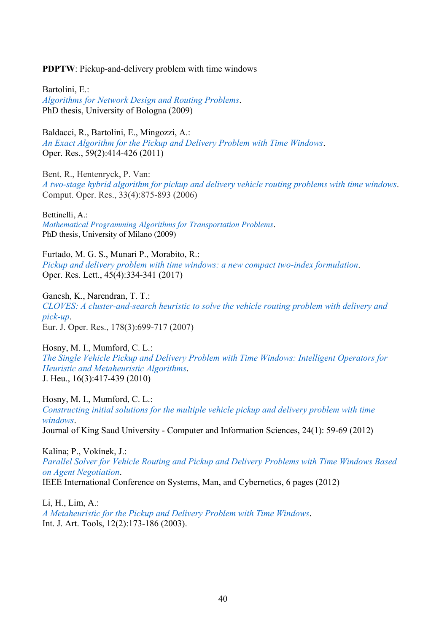**PDPTW**: Pickup-and-delivery problem with time windows

Bartolini, E.: *Algorithms for Network Design and Routing Problems*. PhD thesis, University of Bologna (2009)

Baldacci, R., Bartolini, E., Mingozzi, A.: *An Exact Algorithm for the Pickup and Delivery Problem with Time Windows*. Oper. Res., 59(2):414-426 (2011)

Bent, R., Hentenryck, P. Van: *A two-stage hybrid algorithm for pickup and delivery vehicle routing problems with time windows*. Comput. Oper. Res., 33(4):875-893 (2006)

Bettinelli, A.: *Mathematical Programming Algorithms for Transportation Problems*. PhD thesis, University of Milano (2009)

Furtado, M. G. S., Munari P., Morabito, R.: *Pickup and delivery problem with time windows: a new compact two-index formulation*. Oper. Res. Lett., 45(4):334-341 (2017)

Ganesh, K., Narendran, T. T.: *CLOVES: A cluster-and-search heuristic to solve the vehicle routing problem with delivery and pick-up*. Eur. J. Oper. Res., 178(3):699-717 (2007)

Hosny, M. I., Mumford, C. L.: *The Single Vehicle Pickup and Delivery Problem with Time Windows: Intelligent Operators for Heuristic and Metaheuristic Algorithms*. J. Heu., 16(3):417-439 (2010)

Hosny, M. I., Mumford, C. L.: *Constructing initial solutions for the multiple vehicle pickup and delivery problem with time windows*. Journal of King Saud University - Computer and Information Sciences, 24(1): 59-69 (2012)

Kalina; P., Vokínek, J.: *Parallel Solver for Vehicle Routing and Pickup and Delivery Problems with Time Windows Based on Agent Negotiation*. IEEE International Conference on Systems, Man, and Cybernetics, 6 pages (2012)

Li, H., Lim, A.: *A Metaheuristic for the Pickup and Delivery Problem with Time Windows*. Int. J. Art. Tools, 12(2):173-186 (2003).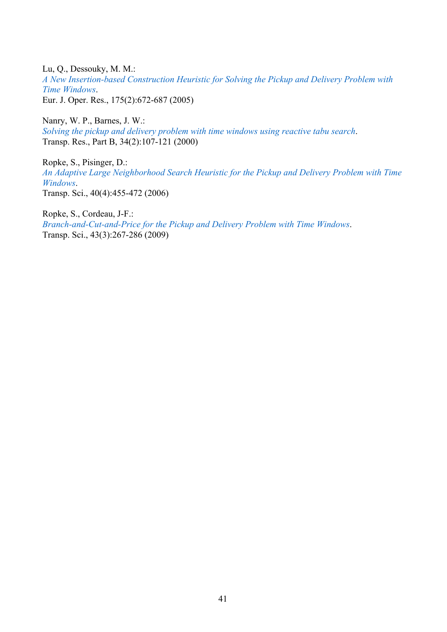Lu, Q., Dessouky, M. M.: *A New Insertion-based Construction Heuristic for Solving the Pickup and Delivery Problem with Time Windows*. Eur. J. Oper. Res., 175(2):672-687 (2005)

Nanry, W. P., Barnes, J. W.: *Solving the pickup and delivery problem with time windows using reactive tabu search*. Transp. Res., Part B, 34(2):107-121 (2000)

Ropke, S., Pisinger, D.: *An Adaptive Large Neighborhood Search Heuristic for the Pickup and Delivery Problem with Time Windows*. Transp. Sci., 40(4):455-472 (2006)

Ropke, S., Cordeau, J-F.: *Branch-and-Cut-and-Price for the Pickup and Delivery Problem with Time Windows*. Transp. Sci., 43(3):267-286 (2009)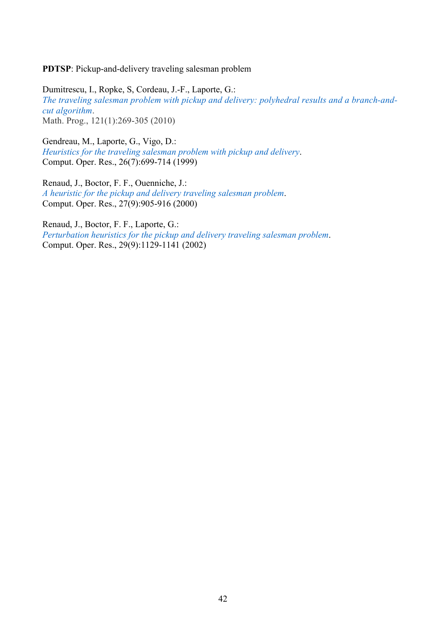**PDTSP**: Pickup-and-delivery traveling salesman problem

Dumitrescu, I., Ropke, S, Cordeau, J.-F., Laporte, G.: *The traveling salesman problem with pickup and delivery: polyhedral results and a branch-andcut algorithm*. Math. Prog., 121(1):269-305 (2010)

Gendreau, M., Laporte, G., Vigo, D.: *Heuristics for the traveling salesman problem with pickup and delivery*. Comput. Oper. Res., 26(7):699-714 (1999)

Renaud, J., Boctor, F. F., Ouenniche, J.: *A heuristic for the pickup and delivery traveling salesman problem*. Comput. Oper. Res., 27(9):905-916 (2000)

Renaud, J., Boctor, F. F., Laporte, G.: *Perturbation heuristics for the pickup and delivery traveling salesman problem*. Comput. Oper. Res., 29(9):1129-1141 (2002)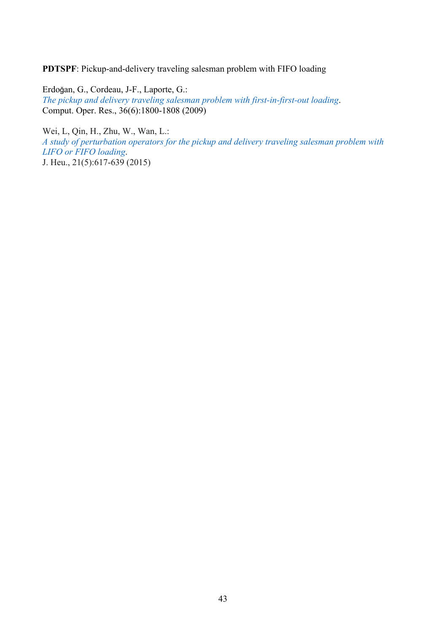**PDTSPF**: Pickup-and-delivery traveling salesman problem with FIFO loading

Erdoğan, G., Cordeau, J-F., Laporte, G.: *The pickup and delivery traveling salesman problem with first-in-first-out loading*. Comput. Oper. Res., 36(6):1800-1808 (2009)

Wei, L, Qin, H., Zhu, W., Wan, L.: *A study of perturbation operators for the pickup and delivery traveling salesman problem with LIFO or FIFO loading*. J. Heu., 21(5):617-639 (2015)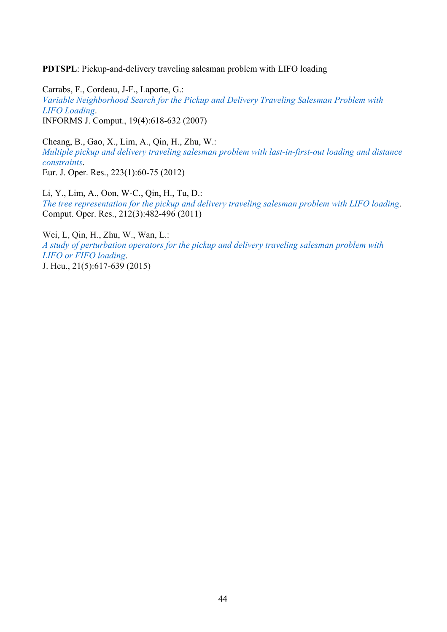**PDTSPL**: Pickup-and-delivery traveling salesman problem with LIFO loading

Carrabs, F., Cordeau, J-F., Laporte, G.: *Variable Neighborhood Search for the Pickup and Delivery Traveling Salesman Problem with LIFO Loading*. INFORMS J. Comput., 19(4):618-632 (2007)

Cheang, B., Gao, X., Lim, A., Qin, H., Zhu, W.: *Multiple pickup and delivery traveling salesman problem with last-in-first-out loading and distance constraints*. Eur. J. Oper. Res., 223(1):60-75 (2012)

Li, Y., Lim, A., Oon, W-C., Qin, H., Tu, D.: *The tree representation for the pickup and delivery traveling salesman problem with LIFO loading*. Comput. Oper. Res., 212(3):482-496 (2011)

Wei, L, Qin, H., Zhu, W., Wan, L.: *A study of perturbation operators for the pickup and delivery traveling salesman problem with LIFO or FIFO loading*. J. Heu., 21(5):617-639 (2015)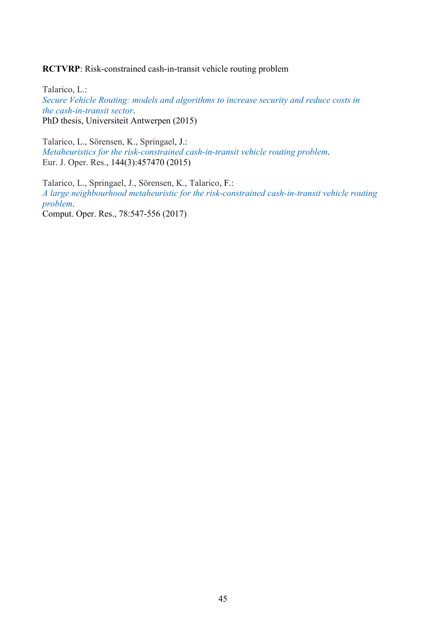**RCTVRP**: Risk-constrained cash-in-transit vehicle routing problem

Talarico, L.: *Secure Vehicle Routing: models and algorithms to increase security and reduce costs in the cash-in-transit sector*. PhD thesis, Universiteit Antwerpen (2015)

Talarico, L., Sörensen, K., Springael, J.: *Metaheuristics for the risk-constrained cash-in-transit vehicle routing problem*. Eur. J. Oper. Res., 144(3):457470 (2015)

Talarico, L., Springael, J., Sörensen, K., Talarico, F.: *A large neighbourhood metaheuristic for the risk-constrained cash-in-transit vehicle routing problem*. Comput. Oper. Res., 78:547-556 (2017)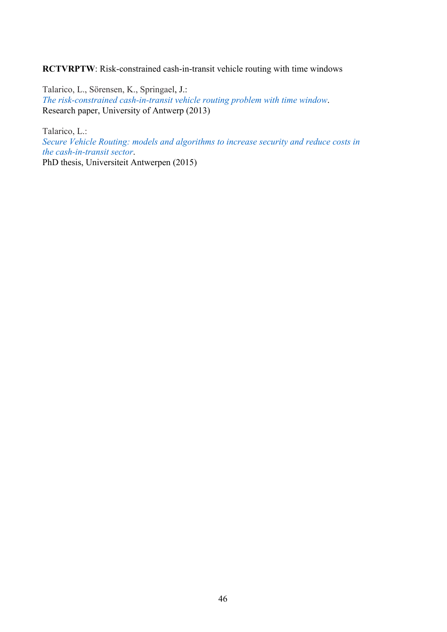**RCTVRPTW**: Risk-constrained cash-in-transit vehicle routing with time windows

Talarico, L., Sörensen, K., Springael, J.: *The risk-constrained cash-in-transit vehicle routing problem with time window*. Research paper, University of Antwerp (2013)

Talarico, L.: *Secure Vehicle Routing: models and algorithms to increase security and reduce costs in the cash-in-transit sector*. PhD thesis, Universiteit Antwerpen (2015)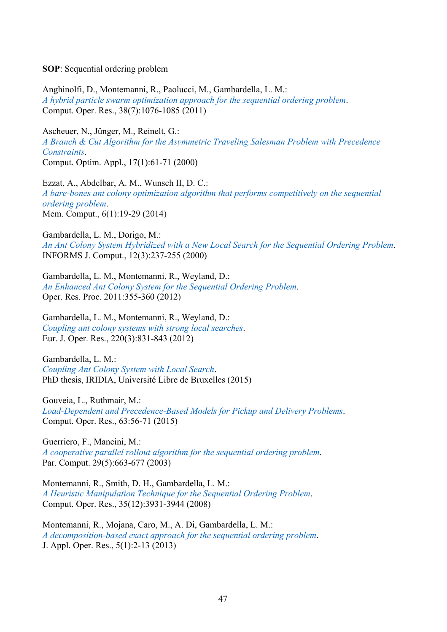**SOP**: Sequential ordering problem

Anghinolfi, D., Montemanni, R., Paolucci, M., Gambardella, L. M.: *A hybrid particle swarm optimization approach for the sequential ordering problem*. Comput. Oper. Res., 38(7):1076-1085 (2011)

Ascheuer, N., Jünger, M., Reinelt, G.: *A Branch & Cut Algorithm for the Asymmetric Traveling Salesman Problem with Precedence Constraints*. Comput. Optim. Appl., 17(1):61-71 (2000)

Ezzat, A., Abdelbar, A. M., Wunsch II, D. C.: *A bare-bones ant colony optimization algorithm that performs competitively on the sequential ordering problem*. Mem. Comput., 6(1):19-29 (2014)

Gambardella, L. M., Dorigo, M.: *An Ant Colony System Hybridized with a New Local Search for the Sequential Ordering Problem*. INFORMS J. Comput., 12(3):237-255 (2000)

Gambardella, L. M., Montemanni, R., Weyland, D.: *An Enhanced Ant Colony System for the Sequential Ordering Problem*. Oper. Res. Proc. 2011:355-360 (2012)

Gambardella, L. M., Montemanni, R., Weyland, D.: *Coupling ant colony systems with strong local searches*. Eur. J. Oper. Res., 220(3):831-843 (2012)

Gambardella, L. M.: *Coupling Ant Colony System with Local Search*. PhD thesis, IRIDIA, Université Libre de Bruxelles (2015)

Gouveia, L., Ruthmair, M.: *Load-Dependent and Precedence-Based Models for Pickup and Delivery Problems*. Comput. Oper. Res., 63:56-71 (2015)

Guerriero, F., Mancini, M.: *A cooperative parallel rollout algorithm for the sequential ordering problem*. Par. Comput. 29(5):663-677 (2003)

Montemanni, R., Smith, D. H., Gambardella, L. M.: *A Heuristic Manipulation Technique for the Sequential Ordering Problem*. Comput. Oper. Res., 35(12):3931-3944 (2008)

Montemanni, R., Mojana, Caro, M., A. Di, Gambardella, L. M.: *A decomposition-based exact approach for the sequential ordering problem*. J. Appl. Oper. Res., 5(1):2-13 (2013)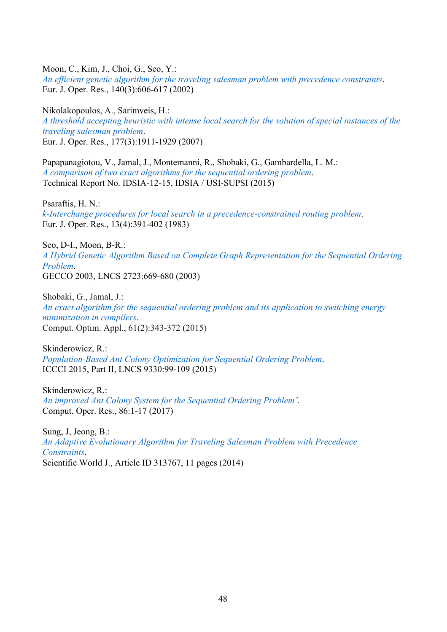Moon, C., Kim, J., Choi, G., Seo, Y.:

*An efficient genetic algorithm for the traveling salesman problem with precedence constraints*. Eur. J. Oper. Res., 140(3):606-617 (2002)

Nikolakopoulos, A., Sarimveis, H.: *A threshold accepting heuristic with intense local search for the solution of special instances of the traveling salesman problem*. Eur. J. Oper. Res., 177(3):1911-1929 (2007)

Papapanagiotou, V., Jamal, J., Montemanni, R., Shobaki, G., Gambardella, L. M.: *A comparison of two exact algorithms for the sequential ordering problem*. Technical Report No. IDSIA-12-15, IDSIA / USI-SUPSI (2015)

Psaraftis, H. N.: *k-Interchange procedures for local search in a precedence-constrained routing problem*. Eur. J. Oper. Res., 13(4):391-402 (1983)

Seo, D-I., Moon, B-R.: *A Hybrid Genetic Algorithm Based on Complete Graph Representation for the Sequential Ordering Problem*. GECCO 2003, LNCS 2723:669-680 (2003)

Shobaki, G., Jamal, J.: *An exact algorithm for the sequential ordering problem and its application to switching energy minimization in compilers*. Comput. Optim. Appl., 61(2):343-372 (2015)

Skinderowicz, R.: *Population-Based Ant Colony Optimization for Sequential Ordering Problem*. ICCCI 2015, Part II, LNCS 9330:99-109 (2015)

Skinderowicz, R.: *An improved Ant Colony System for the Sequential Ordering Problem'*. Comput. Oper. Res., 86:1-17 (2017)

Sung, J, Jeong, B.: *An Adaptive Evolutionary Algorithm for Traveling Salesman Problem with Precedence Constraints*. Scientific World J., Article ID 313767, 11 pages (2014)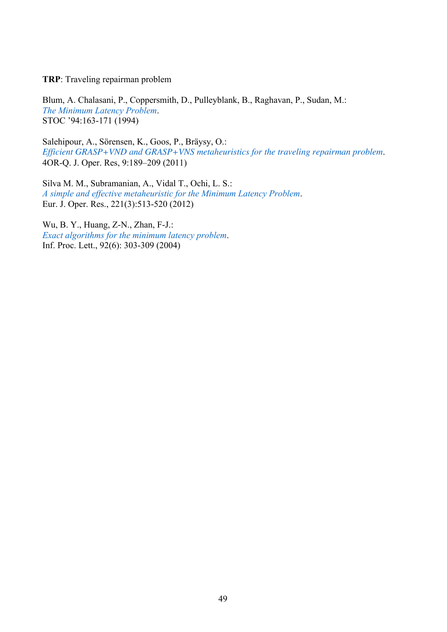**TRP**: Traveling repairman problem

Blum, A. Chalasani, P., Coppersmith, D., Pulleyblank, B., Raghavan, P., Sudan, M.: *The Minimum Latency Problem*. STOC '94:163-171 (1994)

Salehipour, A., Sörensen, K., Goos, P., Bräysy, O.: *Efficient GRASP+VND and GRASP+VNS metaheuristics for the traveling repairman problem*. 4OR-Q. J. Oper. Res, 9:189–209 (2011)

Silva M. M., Subramanian, A., Vidal T., Ochi, L. S.: *A simple and effective metaheuristic for the Minimum Latency Problem*. Eur. J. Oper. Res., 221(3):513-520 (2012)

Wu, B. Y., Huang, Z-N., Zhan, F-J.: *Exact algorithms for the minimum latency problem*. Inf. Proc. Lett., 92(6): 303-309 (2004)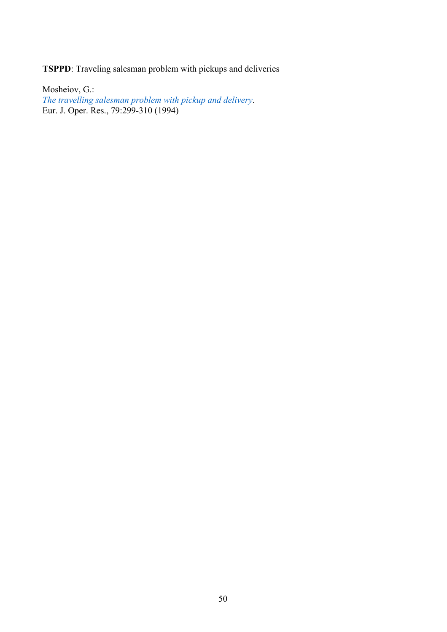**TSPPD**: Traveling salesman problem with pickups and deliveries

Mosheiov, G.: *The travelling salesman problem with pickup and delivery*. Eur. J. Oper. Res., 79:299-310 (1994)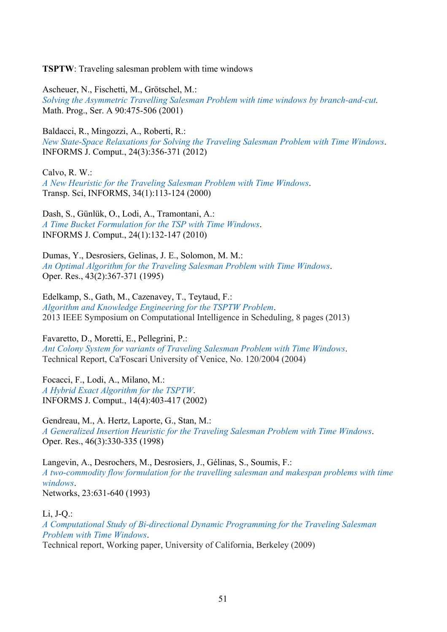**TSPTW**: Traveling salesman problem with time windows

Ascheuer, N., Fischetti, M., Grötschel, M.: *Solving the Asymmetric Travelling Salesman Problem with time windows by branch-and-cut.* Math. Prog., Ser. A 90:475-506 (2001)

Baldacci, R., Mingozzi, A., Roberti, R.: *New State-Space Relaxations for Solving the Traveling Salesman Problem with Time Windows*. INFORMS J. Comput., 24(3):356-371 (2012)

Calvo, R. W.: *A New Heuristic for the Traveling Salesman Problem with Time Windows*. Transp. Sci, INFORMS, 34(1):113-124 (2000)

Dash, S., Günlük, O., Lodi, A., Tramontani, A.: *A Time Bucket Formulation for the TSP with Time Windows*. INFORMS J. Comput., 24(1):132-147 (2010)

Dumas, Y., Desrosiers, Gelinas, J. E., Solomon, M. M.: *An Optimal Algorithm for the Traveling Salesman Problem with Time Windows*. Oper. Res., 43(2):367-371 (1995)

Edelkamp, S., Gath, M., Cazenavey, T., Teytaud, F.: *Algorithm and Knowledge Engineering for the TSPTW Problem*. 2013 IEEE Symposium on Computational Intelligence in Scheduling, 8 pages (2013)

Favaretto, D., Moretti, E., Pellegrini, P.: *Ant Colony System for variants of Traveling Salesman Problem with Time Windows*. Technical Report, Ca'Foscari University of Venice, No. 120/2004 (2004)

Focacci, F., Lodi, A., Milano, M.: *A Hybrid Exact Algorithm for the TSPTW*. INFORMS J. Comput., 14(4):403-417 (2002)

Gendreau, M., A. Hertz, Laporte, G., Stan, M.: *A Generalized Insertion Heuristic for the Traveling Salesman Problem with Time Windows*. Oper. Res., 46(3):330-335 (1998)

Langevin, A., Desrochers, M., Desrosiers, J., Gélinas, S., Soumis, F.: *A two-commodity flow formulation for the travelling salesman and makespan problems with time windows*. Networks, 23:631-640 (1993)

Li, J-Q.:

*A Computational Study of Bi-directional Dynamic Programming for the Traveling Salesman Problem with Time Windows*.

Technical report, Working paper, University of California, Berkeley (2009)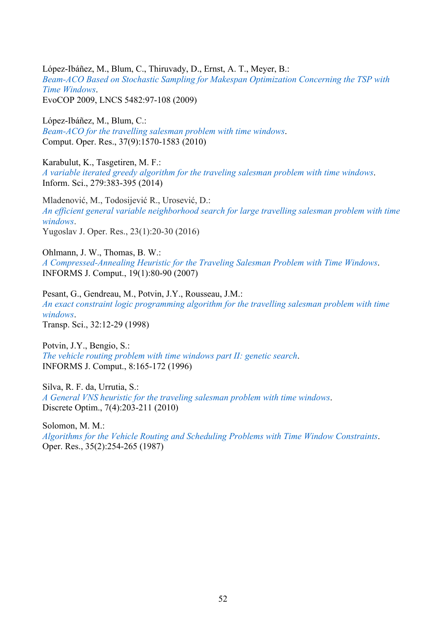López-Ibáñez, M., Blum, C., Thiruvady, D., Ernst, A. T., Meyer, B.: *Beam-ACO Based on Stochastic Sampling for Makespan Optimization Concerning the TSP with Time Windows*. EvoCOP 2009, LNCS 5482:97-108 (2009)

López-Ibáñez, M., Blum, C.: *Beam-ACO for the travelling salesman problem with time windows*. Comput. Oper. Res., 37(9):1570-1583 (2010)

Karabulut, K., Tasgetiren, M. F.: *A variable iterated greedy algorithm for the traveling salesman problem with time windows*. Inform. Sci., 279:383-395 (2014)

Mladenović, M., Todosijević R., Urosević, D.: *An efficient general variable neighborhood search for large travelling salesman problem with time windows*. Yugoslav J. Oper. Res., 23(1):20-30 (2016)

Ohlmann, J. W., Thomas, B. W.: *A Compressed-Annealing Heuristic for the Traveling Salesman Problem with Time Windows*. INFORMS J. Comput., 19(1):80-90 (2007)

Pesant, G., Gendreau, M., Potvin, J.Y., Rousseau, J.M.: *An exact constraint logic programming algorithm for the travelling salesman problem with time windows*. Transp. Sci., 32:12-29 (1998)

Potvin, J.Y., Bengio, S.: *The vehicle routing problem with time windows part II: genetic search*. INFORMS J. Comput., 8:165-172 (1996)

Silva, R. F. da, Urrutia, S.: *A General VNS heuristic for the traveling salesman problem with time windows*. Discrete Optim., 7(4):203-211 (2010)

Solomon, M. M.: *Algorithms for the Vehicle Routing and Scheduling Problems with Time Window Constraints*. Oper. Res., 35(2):254-265 (1987)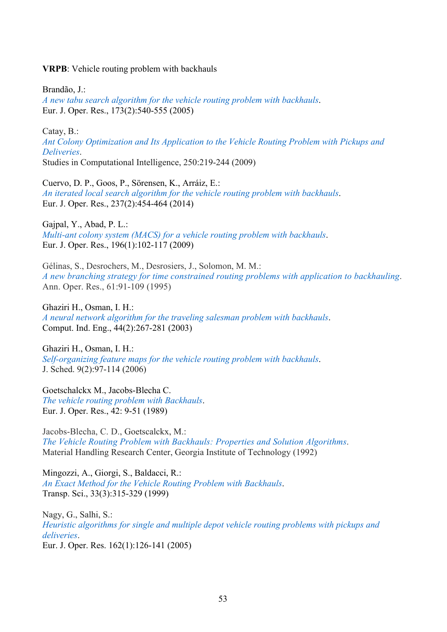### **VRPB**: Vehicle routing problem with backhauls

Brandão, J.: *A new tabu search algorithm for the vehicle routing problem with backhauls*. Eur. J. Oper. Res., 173(2):540-555 (2005)

Catay, B.: *Ant Colony Optimization and Its Application to the Vehicle Routing Problem with Pickups and Deliveries*. Studies in Computational Intelligence, 250:219-244 (2009)

Cuervo, D. P., Goos, P., Sörensen, K., Arráiz, E.: *An iterated local search algorithm for the vehicle routing problem with backhauls*. Eur. J. Oper. Res., 237(2):454-464 (2014)

Gajpal, Y., Abad, P. L.: *Multi-ant colony system (MACS) for a vehicle routing problem with backhauls*. Eur. J. Oper. Res., 196(1):102-117 (2009)

Gélinas, S., Desrochers, M., Desrosiers, J., Solomon, M. M.: *A new branching strategy for time constrained routing problems with application to backhauling*. Ann. Oper. Res., 61:91-109 (1995)

Ghaziri H., Osman, I. H.: *A neural network algorithm for the traveling salesman problem with backhauls*. Comput. Ind. Eng., 44(2):267-281 (2003)

Ghaziri H., Osman, I. H.: *Self-organizing feature maps for the vehicle routing problem with backhauls*. J. Sched. 9(2):97-114 (2006)

Goetschalckx M., Jacobs-Blecha C. *The vehicle routing problem with Backhauls*. Eur. J. Oper. Res., 42: 9-51 (1989)

Jacobs-Blecha, C. D., Goetscalckx, M.: *The Vehicle Routing Problem with Backhauls: Properties and Solution Algorithms*. Material Handling Research Center, Georgia Institute of Technology (1992)

Mingozzi, A., Giorgi, S., Baldacci, R.: *An Exact Method for the Vehicle Routing Problem with Backhauls*. Transp. Sci., 33(3):315-329 (1999)

Nagy, G., Salhi, S.: *Heuristic algorithms for single and multiple depot vehicle routing problems with pickups and deliveries*. Eur. J. Oper. Res. 162(1):126-141 (2005)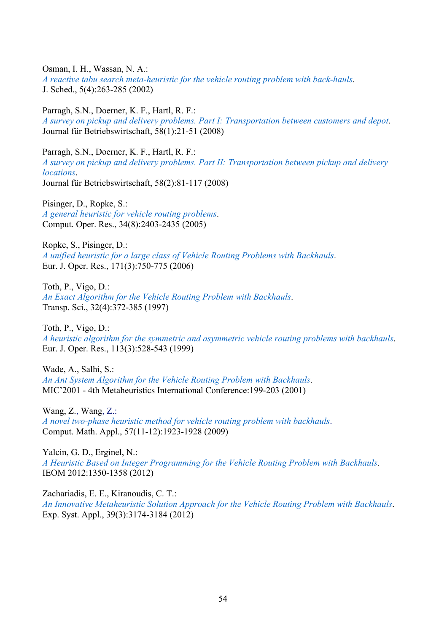Osman, I. H., Wassan, N. A.: *A reactive tabu search meta-heuristic for the vehicle routing problem with back-hauls*. J. Sched., 5(4):263-285 (2002)

Parragh, S.N., Doerner, K. F., Hartl, R. F.:

*A survey on pickup and delivery problems. Part I: Transportation between customers and depot*. Journal für Betriebswirtschaft, 58(1):21-51 (2008)

Parragh, S.N., Doerner, K. F., Hartl, R. F.: *A survey on pickup and delivery problems. Part II: Transportation between pickup and delivery locations*. Journal für Betriebswirtschaft, 58(2):81-117 (2008)

Pisinger, D., Ropke, S.: *A general heuristic for vehicle routing problems*. Comput. Oper. Res., 34(8):2403-2435 (2005)

Ropke, S., Pisinger, D.: *A unified heuristic for a large class of Vehicle Routing Problems with Backhauls*. Eur. J. Oper. Res., 171(3):750-775 (2006)

Toth, P., Vigo, D.: *An Exact Algorithm for the Vehicle Routing Problem with Backhauls*. Transp. Sci., 32(4):372-385 (1997)

Toth, P., Vigo, D.: *A heuristic algorithm for the symmetric and asymmetric vehicle routing problems with backhauls*. Eur. J. Oper. Res., 113(3):528-543 (1999)

Wade, A., Salhi, S.: *An Ant System Algorithm for the Vehicle Routing Problem with Backhauls*. MIC'2001 - 4th Metaheuristics International Conference:199-203 (2001)

Wang, Z., Wang, Z.: *A novel two-phase heuristic method for vehicle routing problem with backhauls*. Comput. Math. Appl., 57(11-12):1923-1928 (2009)

Yalcin, G. D., Erginel, N.: *A Heuristic Based on Integer Programming for the Vehicle Routing Problem with Backhauls*. IEOM 2012:1350-1358 (2012)

Zachariadis, E. E., Kiranoudis, C. T.: *An Innovative Metaheuristic Solution Approach for the Vehicle Routing Problem with Backhauls*. Exp. Syst. Appl., 39(3):3174-3184 (2012)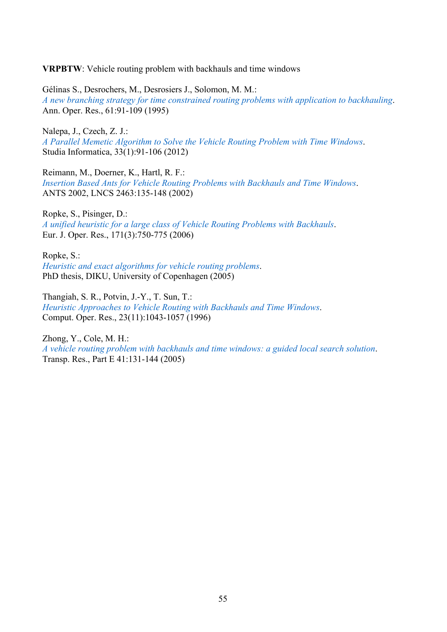**VRPBTW**: Vehicle routing problem with backhauls and time windows

Gélinas S., Desrochers, M., Desrosiers J., Solomon, M. M.: *A new branching strategy for time constrained routing problems with application to backhauling*. Ann. Oper. Res., 61:91-109 (1995)

Nalepa, J., Czech, Z. J.: *A Parallel Memetic Algorithm to Solve the Vehicle Routing Problem with Time Windows*. Studia Informatica, 33(1):91-106 (2012)

Reimann, M., Doerner, K., Hartl, R. F.: *Insertion Based Ants for Vehicle Routing Problems with Backhauls and Time Windows*. ANTS 2002, LNCS 2463:135-148 (2002)

Ropke, S., Pisinger, D.: *A unified heuristic for a large class of Vehicle Routing Problems with Backhauls*. Eur. J. Oper. Res., 171(3):750-775 (2006)

Ropke, S.: *Heuristic and exact algorithms for vehicle routing problems*. PhD thesis, DIKU, University of Copenhagen (2005)

Thangiah, S. R., Potvin, J.-Y., T. Sun, T.: *Heuristic Approaches to Vehicle Routing with Backhauls and Time Windows*. Comput. Oper. Res., 23(11):1043-1057 (1996)

Zhong, Y., Cole, M. H.: *A vehicle routing problem with backhauls and time windows: a guided local search solution*. Transp. Res., Part E 41:131-144 (2005)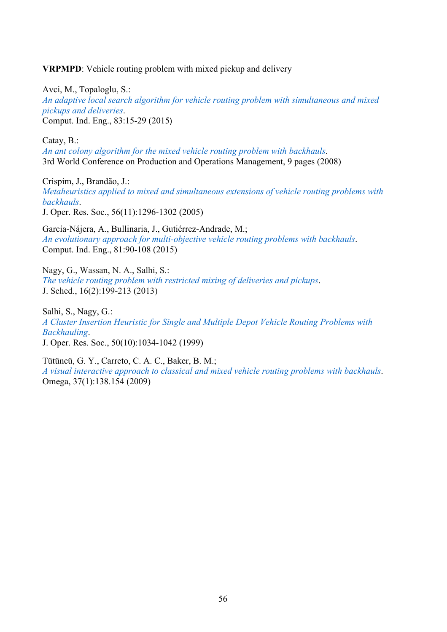**VRPMPD**: Vehicle routing problem with mixed pickup and delivery

Avci, M., Topaloglu, S.:

*An adaptive local search algorithm for vehicle routing problem with simultaneous and mixed pickups and deliveries*.

Comput. Ind. Eng., 83:15-29 (2015)

Catay, B.: *An ant colony algorithm for the mixed vehicle routing problem with backhauls*. 3rd World Conference on Production and Operations Management, 9 pages (2008)

Crispim, J., Brandão, J.: *Metaheuristics applied to mixed and simultaneous extensions of vehicle routing problems with backhauls*. J. Oper. Res. Soc., 56(11):1296-1302 (2005)

García-Nájera, A., Bullinaria, J., Gutiérrez-Andrade, M.; *An evolutionary approach for multi-objective vehicle routing problems with backhauls*. Comput. Ind. Eng., 81:90-108 (2015)

Nagy, G., Wassan, N. A., Salhi, S.: *The vehicle routing problem with restricted mixing of deliveries and pickups*. J. Sched., 16(2):199-213 (2013)

Salhi, S., Nagy, G.: *A Cluster Insertion Heuristic for Single and Multiple Depot Vehicle Routing Problems with Backhauling*. J. Oper. Res. Soc., 50(10):1034-1042 (1999)

Tütüncü, G. Y., Carreto, C. A. C., Baker, B. M.; *A visual interactive approach to classical and mixed vehicle routing problems with backhauls*. Omega, 37(1):138.154 (2009)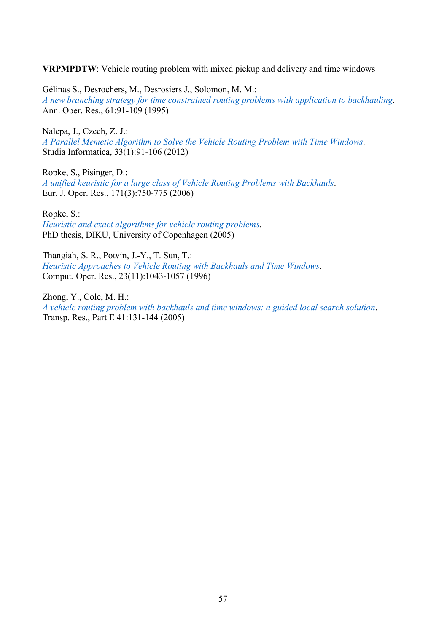**VRPMPDTW**: Vehicle routing problem with mixed pickup and delivery and time windows

Gélinas S., Desrochers, M., Desrosiers J., Solomon, M. M.: *A new branching strategy for time constrained routing problems with application to backhauling*. Ann. Oper. Res., 61:91-109 (1995)

Nalepa, J., Czech, Z. J.: *A Parallel Memetic Algorithm to Solve the Vehicle Routing Problem with Time Windows*. Studia Informatica, 33(1):91-106 (2012)

Ropke, S., Pisinger, D.: *A unified heuristic for a large class of Vehicle Routing Problems with Backhauls*. Eur. J. Oper. Res., 171(3):750-775 (2006)

Ropke, S.: *Heuristic and exact algorithms for vehicle routing problems*. PhD thesis, DIKU, University of Copenhagen (2005)

Thangiah, S. R., Potvin, J.-Y., T. Sun, T.: *Heuristic Approaches to Vehicle Routing with Backhauls and Time Windows*. Comput. Oper. Res., 23(11):1043-1057 (1996)

Zhong, Y., Cole, M. H.: *A vehicle routing problem with backhauls and time windows: a guided local search solution*. Transp. Res., Part E 41:131-144 (2005)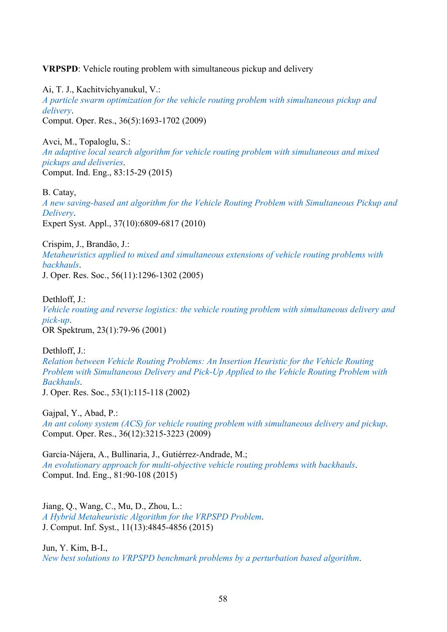**VRPSPD**: Vehicle routing problem with simultaneous pickup and delivery

Ai, T. J., Kachitvichyanukul, V.:

*A particle swarm optimization for the vehicle routing problem with simultaneous pickup and delivery*.

Comput. Oper. Res., 36(5):1693-1702 (2009)

Avci, M., Topaloglu, S.: *An adaptive local search algorithm for vehicle routing problem with simultaneous and mixed pickups and deliveries*. Comput. Ind. Eng., 83:15-29 (2015)

B. Catay,

*A new saving-based ant algorithm for the Vehicle Routing Problem with Simultaneous Pickup and Delivery*. Expert Syst. Appl., 37(10):6809-6817 (2010)

Crispim, J., Brandão, J.:

*Metaheuristics applied to mixed and simultaneous extensions of vehicle routing problems with backhauls*.

J. Oper. Res. Soc., 56(11):1296-1302 (2005)

Dethloff, J.: *Vehicle routing and reverse logistics: the vehicle routing problem with simultaneous delivery and pick-up*. OR Spektrum, 23(1):79-96 (2001)

Dethloff, J.: *Relation between Vehicle Routing Problems: An Insertion Heuristic for the Vehicle Routing Problem with Simultaneous Delivery and Pick-Up Applied to the Vehicle Routing Problem with Backhauls*. J. Oper. Res. Soc., 53(1):115-118 (2002)

Gajpal, Y., Abad, P.: *An ant colony system (ACS) for vehicle routing problem with simultaneous delivery and pickup*. Comput. Oper. Res., 36(12):3215-3223 (2009)

García-Nájera, A., Bullinaria, J., Gutiérrez-Andrade, M.; *An evolutionary approach for multi-objective vehicle routing problems with backhauls*. Comput. Ind. Eng., 81:90-108 (2015)

Jiang, Q., Wang, C., Mu, D., Zhou, L.: *A Hybrid Metaheuristic Algorithm for the VRPSPD Problem*. J. Comput. Inf. Syst., 11(13):4845-4856 (2015)

Jun, Y. Kim, B-I., *New best solutions to VRPSPD benchmark problems by a perturbation based algorithm*.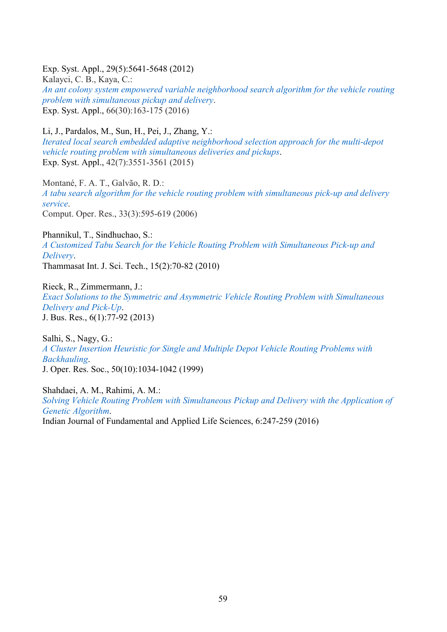Exp. Syst. Appl., 29(5):5641-5648 (2012) Kalayci, C. B., Kaya, C.: *An ant colony system empowered variable neighborhood search algorithm for the vehicle routing problem with simultaneous pickup and delivery*. Exp. Syst. Appl., 66(30):163-175 (2016)

Li, J., Pardalos, M., Sun, H., Pei, J., Zhang, Y.: *Iterated local search embedded adaptive neighborhood selection approach for the multi-depot vehicle routing problem with simultaneous deliveries and pickups*. Exp. Syst. Appl., 42(7):3551-3561 (2015)

Montané, F. A. T., Galvão, R. D.: *A tabu search algorithm for the vehicle routing problem with simultaneous pick-up and delivery service*. Comput. Oper. Res., 33(3):595-619 (2006)

Phannikul, T., Sindhuchao, S.: *A Customized Tabu Search for the Vehicle Routing Problem with Simultaneous Pick-up and Delivery*. Thammasat Int. J. Sci. Tech., 15(2):70-82 (2010)

Rieck, R., Zimmermann, J.: *Exact Solutions to the Symmetric and Asymmetric Vehicle Routing Problem with Simultaneous Delivery and Pick-Up*. J. Bus. Res., 6(1):77-92 (2013)

Salhi, S., Nagy, G.: *A Cluster Insertion Heuristic for Single and Multiple Depot Vehicle Routing Problems with Backhauling*. J. Oper. Res. Soc., 50(10):1034-1042 (1999)

Shahdaei, A. M., Rahimi, A. M.: *Solving Vehicle Routing Problem with Simultaneous Pickup and Delivery with the Application of Genetic Algorithm*. Indian Journal of Fundamental and Applied Life Sciences, 6:247-259 (2016)